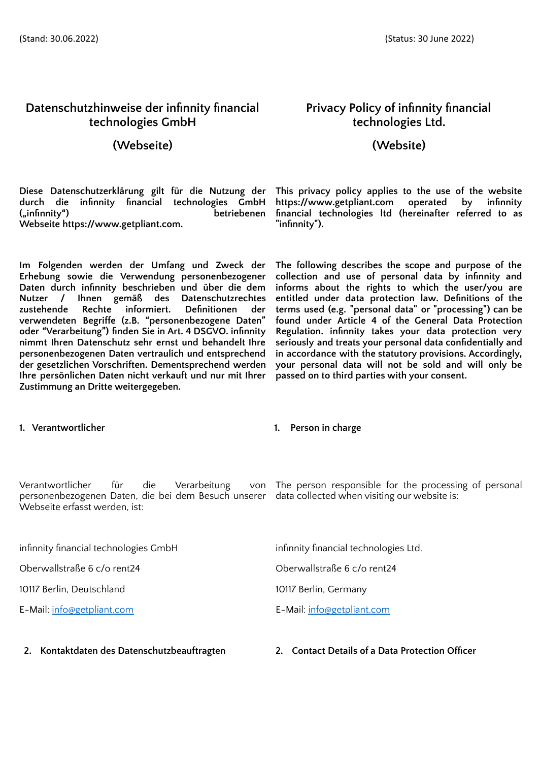# **Datenschutzhinweise der infinnity financial technologies GmbH**

## **(Webseite) (Website)**

**Diese Datenschutzerklärung gilt für die Nutzung der durch die infinnity financial technologies GmbH**  $b$ etriebenen **Webseite [https://www.getpliant.com.](https://www.getpliant.com/)**

**Im Folgenden werden der Umfang und Zweck der Erhebung sowie die Verwendung personenbezogener Daten durch infinnity beschrieben und über die dem Nutzer / Ihnen gemäß des Datenschutzrechtes zustehende Rechte informiert. Definitionen der verwendeten Begriffe (z.B. "personenbezogene Daten" oder "Verarbeitung") finden Sie in Art. 4 DSGVO. infinnity nimmt Ihren Datenschutz sehr ernst und behandelt Ihre personenbezogenen Daten vertraulich und entsprechend der gesetzlichen Vorschriften. Dementsprechend werden Ihre persönlichen Daten nicht verkauft und nur mit Ihrer Zustimmung an Dritte weitergegeben.**

## **1. Verantwortlicher 1. Person in charge**

Verantwortlicher für die Verarbeitung personenbezogenen Daten, die bei dem Besuch unserer data collected when visiting our website is: Webseite erfasst werden, ist:

infinnity financial technologies GmbH infinnity financial technologies Ltd.

Oberwallstraße 6 c/o rent24 Oberwallstraße 6 c/o rent24

10117 Berlin, Deutschland 10117 Berlin, Germany

E-Mail: [info@getpliant.com](mailto:info@getpliant.com) E-Mail: [info@getpliant.com](mailto:info@getpliant.com)

**2. Kontaktdaten des Datenschutzbeauftragten 2. Contact Details of a Data Protection Officer**

# **Privacy Policy of infinnity financial technologies Ltd.**

**This privacy policy applies to the use of the website [https://www.getpliant.com](https://www.getpliant.com/) operated by infinnity financial technologies ltd (hereinafter referred to as "infinnity").**

**The following describes the scope and purpose of the collection and use of personal data by infinnity and informs about the rights to which the user/you are entitled under data protection law. Definitions of the terms used (e.g. "personal data" or "processing") can be found under Article 4 of the General Data Protection Regulation. infinnity takes your data protection very seriously and treats your personal data confidentially and in accordance with the statutory provisions. Accordingly, your personal data will not be sold and will only be passed on to third parties with your consent.**

The person responsible for the processing of personal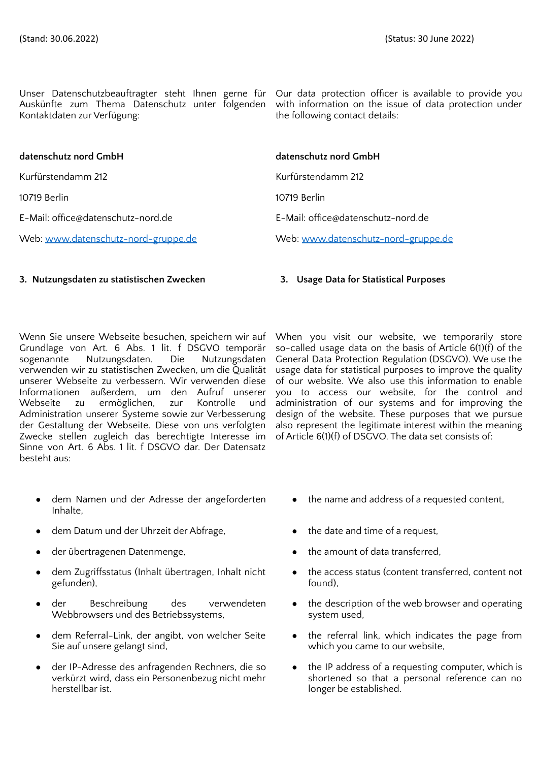Unser Datenschutzbeauftragter steht Ihnen gerne für Auskünfte zum Thema Datenschutz unter folgenden Kontaktdaten zur Verfügung:

Our data protection officer is available to provide you with information on the issue of data protection under the following contact details:

| datenschutz nord GmbH               | datenschutz nord GmbH               |
|-------------------------------------|-------------------------------------|
| Kurfürstendamm 212                  | Kurfürstendamm 212                  |
| 10719 Berlin                        | 10719 Berlin                        |
| E-Mail: office@datenschutz-nord.de  | E-Mail: office@datenschutz-nord.de  |
| Web: www.datenschutz-nord-gruppe.de | Web: www.datenschutz-nord-gruppe.de |

### **3. Nutzungsdaten zu statistischen Zwecken 3. Usage Data for Statistical Purposes**

Wenn Sie unsere Webseite besuchen, speichern wir auf Grundlage von Art. 6 Abs. 1 lit. f DSGVO temporär sogenannte Nutzungsdaten. Die Nutzungsdaten verwenden wir zu statistischen Zwecken, um die Qualität unserer Webseite zu verbessern. Wir verwenden diese Informationen außerdem, um den Aufruf unserer Webseite zu ermöglichen, zur Kontrolle und Administration unserer Systeme sowie zur Verbesserung der Gestaltung der Webseite. Diese von uns verfolgten Zwecke stellen zugleich das berechtigte Interesse im Sinne von Art. 6 Abs. 1 lit. f DSGVO dar. Der Datensatz besteht aus:

- dem Namen und der Adresse der angeforderten Inhalte,
- dem Datum und der Uhrzeit der Abfrage, eine eine eine the date and time of a request,
- 
- dem Zugriffsstatus (Inhalt übertragen, Inhalt nicht gefunden),
- der Beschreibung des verwendeten Webbrowsers und des Betriebssystems,
- dem Referral-Link, der angibt, von welcher Seite Sie auf unsere gelangt sind,
- der IP-Adresse des anfragenden Rechners, die so verkürzt wird, dass ein Personenbezug nicht mehr herstellbar ist.

When you visit our website, we temporarily store so-called usage data on the basis of Article 6(1)(f) of the General Data Protection Regulation (DSGVO). We use the usage data for statistical purposes to improve the quality of our website. We also use this information to enable you to access our website, for the control and administration of our systems and for improving the design of the website. These purposes that we pursue also represent the legitimate interest within the meaning of Article 6(1)(f) of DSGVO. The data set consists of:

- the name and address of a requested content,
- 
- der übertragenen Datenmenge, ette amount of data transferred,
	- the access status (content transferred, content not found),
	- the description of the web browser and operating system used,
	- the referral link, which indicates the page from which you came to our website,
	- the IP address of a requesting computer, which is shortened so that a personal reference can no longer be established.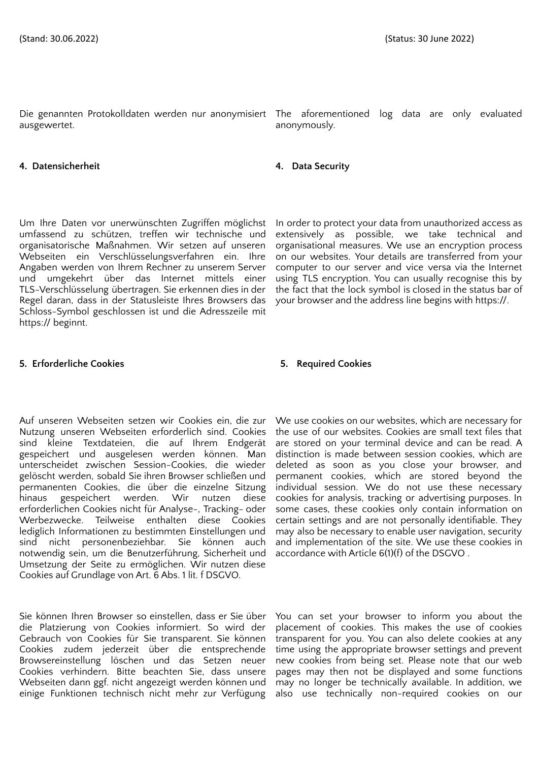ausgewertet.

### **4. Datensicherheit 4. Data Security**

Um Ihre Daten vor unerwünschten Zugriffen möglichst umfassend zu schützen, treffen wir technische und organisatorische Maßnahmen. Wir setzen auf unseren Webseiten ein Verschlüsselungsverfahren ein. Ihre Angaben werden von Ihrem Rechner zu unserem Server und umgekehrt über das Internet mittels einer TLS-Verschlüsselung übertragen. Sie erkennen dies in der Regel daran, dass in der Statusleiste Ihres Browsers das Schloss-Symbol geschlossen ist und die Adresszeile mit https:// beginnt.

### **5. Erforderliche Cookies 5. Required Cookies**

Auf unseren Webseiten setzen wir Cookies ein, die zur Nutzung unseren Webseiten erforderlich sind. Cookies sind kleine Textdateien, die auf Ihrem Endgerät gespeichert und ausgelesen werden können. Man unterscheidet zwischen Session-Cookies, die wieder gelöscht werden, sobald Sie ihren Browser schließen und permanenten Cookies, die über die einzelne Sitzung hinaus gespeichert werden. Wir nutzen diese erforderlichen Cookies nicht für Analyse-, Tracking- oder Werbezwecke. Teilweise enthalten diese Cookies lediglich Informationen zu bestimmten Einstellungen und sind nicht personenbeziehbar. Sie können auch notwendig sein, um die Benutzerführung, Sicherheit und Umsetzung der Seite zu ermöglichen. Wir nutzen diese Cookies auf Grundlage von Art. 6 Abs. 1 lit. f DSGVO.

Sie können Ihren Browser so einstellen, dass er Sie über die Platzierung von Cookies informiert. So wird der Gebrauch von Cookies für Sie transparent. Sie können Cookies zudem jederzeit über die entsprechende Browsereinstellung löschen und das Setzen neuer Cookies verhindern. Bitte beachten Sie, dass unsere Webseiten dann ggf. nicht angezeigt werden können und einige Funktionen technisch nicht mehr zur Verfügung

Die genannten Protokolldaten werden nur anonymisiert The aforementioned log data are only evaluated anonymously.

In order to protect your data from unauthorized access as extensively as possible, we take technical and organisational measures. We use an encryption process on our websites. Your details are transferred from your computer to our server and vice versa via the Internet using TLS encryption. You can usually recognise this by the fact that the lock symbol is closed in the status bar of your browser and the address line begins with https://.

We use cookies on our websites, which are necessary for the use of our websites. Cookies are small text files that are stored on your terminal device and can be read. A distinction is made between session cookies, which are deleted as soon as you close your browser, and permanent cookies, which are stored beyond the individual session. We do not use these necessary cookies for analysis, tracking or advertising purposes. In some cases, these cookies only contain information on certain settings and are not personally identifiable. They may also be necessary to enable user navigation, security and implementation of the site. We use these cookies in accordance with Article 6(1)(f) of the DSGVO .

You can set your browser to inform you about the placement of cookies. This makes the use of cookies transparent for you. You can also delete cookies at any time using the appropriate browser settings and prevent new cookies from being set. Please note that our web pages may then not be displayed and some functions may no longer be technically available. In addition, we also use technically non-required cookies on our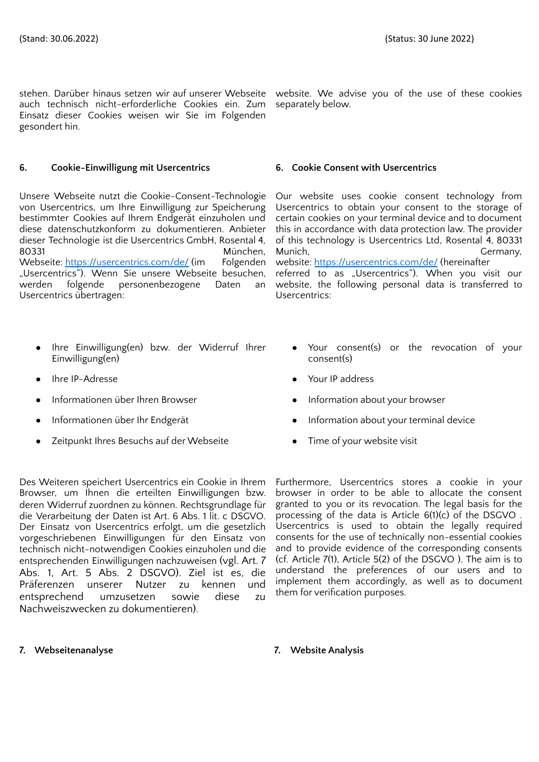stehen. Darüber hinaus setzen wir auf unserer Webseite website. We advise you of the use of these cookies auch technisch nicht-erforderliche Cookies ein. Zum separately below. Einsatz dieser Cookies weisen wir Sie im Folgenden gesondert hin.

### **6. Cookie-Einwilligung mit Usercentrics 6. Cookie Consent with Usercentrics**

Unsere Webseite nutzt die Cookie-Consent-Technologie von Usercentrics, um Ihre Einwilligung zur Speicherung bestimmter Cookies auf Ihrem Endgerät einzuholen und diese datenschutzkonform zu dokumentieren. Anbieter dieser Technologie ist die Usercentrics GmbH, Rosental 4, 80331 München, Webseite: <https://usercentrics.com/de/> (im Folgenden "Usercentrics"). Wenn Sie unsere Webseite besuchen, werden folgende personenbezogene Daten an Usercentrics übertragen:

- Ihre Einwilligung(en) bzw. der Widerruf Ihrer Einwilligung(en)
- 
- 
- 
- Zeitpunkt Ihres Besuchs auf der Webseite **•** Time of your website visit

Des Weiteren speichert Usercentrics ein Cookie in Ihrem Browser, um Ihnen die erteilten Einwilligungen bzw. deren Widerruf zuordnen zu können. Rechtsgrundlage für die Verarbeitung der Daten ist Art. 6 Abs. 1 lit. c DSGVO. Der Einsatz von Usercentrics erfolgt, um die gesetzlich vorgeschriebenen Einwilligungen für den Einsatz von technisch nicht-notwendigen Cookies einzuholen und die entsprechenden Einwilligungen nachzuweisen (vgl. Art. 7 Abs. 1, Art. 5 Abs. 2 DSGVO). Ziel ist es, die Präferenzen unserer Nutzer zu kennen und entsprechend umzusetzen sowie diese zu Nachweiszwecken zu dokumentieren).

Our website uses cookie consent technology from Usercentrics to obtain your consent to the storage of certain cookies on your terminal device and to document this in accordance with data protection law. The provider of this technology is Usercentrics Ltd, Rosental 4, 80331 Munich, Germany, Germany, Germany, Germany, Germany, Germany, Germany, Germany, Germany, Germany, G website: <https://usercentrics.com/de/> (hereinafter referred to as "Usercentrics"). When you visit our website, the following personal data is transferred to Usercentrics:

- Your consent(s) or the revocation of your consent(s)
- Ihre IP-Adresse Your IP address
- Informationen über Ihren Browser **•** Information about your browser
- Informationen über Ihr Endgerät **about 1988** Information about your terminal device
	-

Furthermore, Usercentrics stores a cookie in your browser in order to be able to allocate the consent granted to you or its revocation. The legal basis for the processing of the data is Article 6(1)(c) of the DSGVO . Usercentrics is used to obtain the legally required consents for the use of technically non-essential cookies and to provide evidence of the corresponding consents (cf. Article 7(1), Article 5(2) of the DSGVO ). The aim is to understand the preferences of our users and to implement them accordingly, as well as to document them for verification purposes.

### **7. Webseitenanalyse 7. Website Analysis**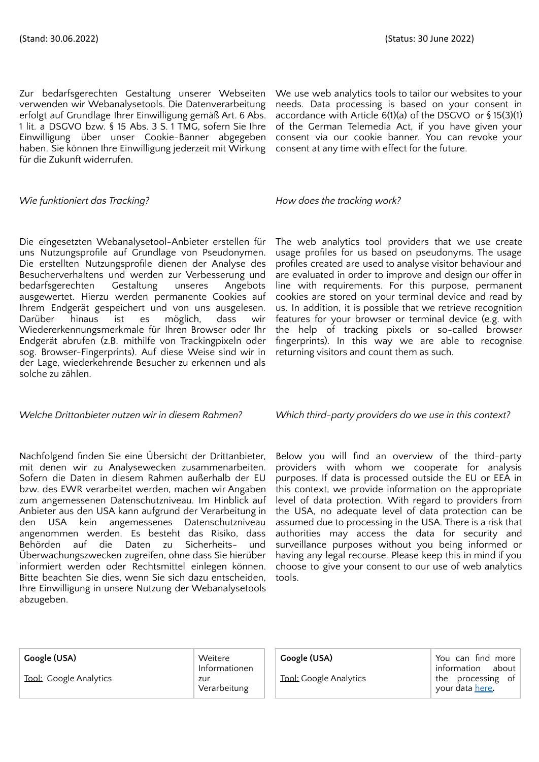Zur bedarfsgerechten Gestaltung unserer Webseiten verwenden wir Webanalysetools. Die Datenverarbeitung erfolgt auf Grundlage Ihrer Einwilligung gemäß Art. 6 Abs. 1 lit. a DSGVO bzw. § 15 Abs. 3 S. 1 TMG, sofern Sie Ihre Einwilligung über unser Cookie-Banner abgegeben haben. Sie können Ihre Einwilligung jederzeit mit Wirkung für die Zukunft widerrufen.

### *Wie funktioniert das Tracking? How does the tracking work?*

Die eingesetzten Webanalysetool-Anbieter erstellen für uns Nutzungsprofile auf Grundlage von Pseudonymen. Die erstellten Nutzungsprofile dienen der Analyse des Besucherverhaltens und werden zur Verbesserung und bedarfsgerechten Gestaltung unseres Angebots ausgewertet. Hierzu werden permanente Cookies auf Ihrem Endgerät gespeichert und von uns ausgelesen. Darüber hinaus ist es möglich, dass wir Wiedererkennungsmerkmale für Ihren Browser oder Ihr Endgerät abrufen (z.B. mithilfe von Trackingpixeln oder sog. Browser-Fingerprints). Auf diese Weise sind wir in der Lage, wiederkehrende Besucher zu erkennen und als solche zu zählen.

Nachfolgend finden Sie eine Übersicht der Drittanbieter, mit denen wir zu Analysewecken zusammenarbeiten. Sofern die Daten in diesem Rahmen außerhalb der EU bzw. des EWR verarbeitet werden, machen wir Angaben zum angemessenen Datenschutzniveau. Im Hinblick auf Anbieter aus den USA kann aufgrund der Verarbeitung in den USA kein angemessenes Datenschutzniveau angenommen werden. Es besteht das Risiko, dass Behörden auf die Daten zu Sicherheits- und Überwachungszwecken zugreifen, ohne dass Sie hierüber informiert werden oder Rechtsmittel einlegen können. Bitte beachten Sie dies, wenn Sie sich dazu entscheiden, Ihre Einwilligung in unsere Nutzung der Webanalysetools abzugeben.

We use web analytics tools to tailor our websites to your needs. Data processing is based on your consent in accordance with Article 6(1)(a) of the DSGVO or § 15(3)(1) of the German Telemedia Act, if you have given your consent via our cookie banner. You can revoke your consent at any time with effect for the future.

The web analytics tool providers that we use create usage profiles for us based on pseudonyms. The usage profiles created are used to analyse visitor behaviour and are evaluated in order to improve and design our offer in line with requirements. For this purpose, permanent cookies are stored on your terminal device and read by us. In addition, it is possible that we retrieve recognition features for your browser or terminal device (e.g. with the help of tracking pixels or so-called browser fingerprints). In this way we are able to recognise returning visitors and count them as such.

*Welche Drittanbieter nutzen wir in diesem Rahmen? Which third-party providers do we use in this context?*

Below you will find an overview of the third-party providers with whom we cooperate for analysis purposes. If data is processed outside the EU or EEA in this context, we provide information on the appropriate level of data protection. With regard to providers from the USA, no adequate level of data protection can be assumed due to processing in the USA. There is a risk that authorities may access the data for security and surveillance purposes without you being informed or having any legal recourse. Please keep this in mind if you choose to give your consent to our use of web analytics tools.

| Google (USA)           | Weitere<br>Informationen | Google (USA)                  | You can find more<br>information<br>about |
|------------------------|--------------------------|-------------------------------|-------------------------------------------|
| Tool: Google Analytics | zur<br>Verarbeitung      | <b>Tool:</b> Google Analytics | the processing of<br>your data here.      |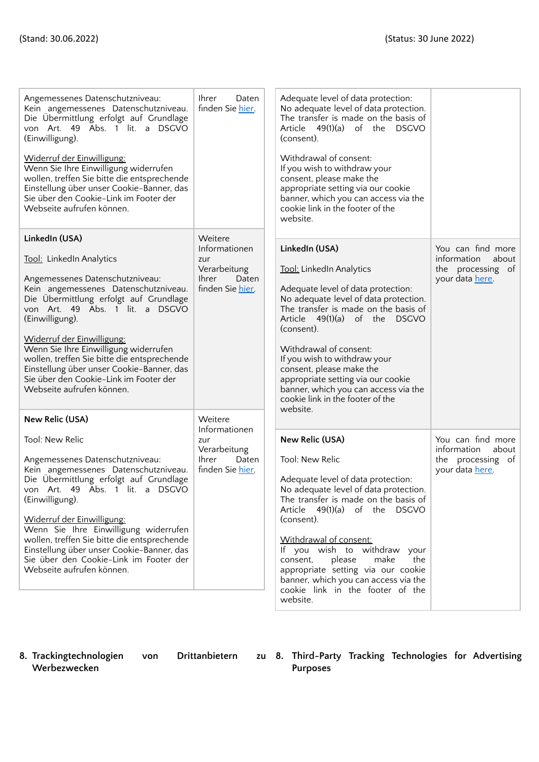| Angemessenes Datenschutzniveau:<br>Kein angemessenes Datenschutzniveau.<br>Die Übermittlung erfolgt auf Grundlage<br>von Art. 49 Abs. 1 lit. a DSGVO<br>(Einwilligung).<br>Widerruf der Einwilligung:<br>Wenn Sie Ihre Einwilligung widerrufen<br>wollen, treffen Sie bitte die entsprechende<br>Einstellung über unser Cookie-Banner, das<br>Sie über den Cookie-Link im Footer der<br>Webseite aufrufen können.                                               | <b>Ihrer</b><br>Daten<br>finden Sie hier.                                                    | Adequate level of data protection:<br>No adequate level of data protection.<br>The transfer is made on the basis of<br>Article 49(1)(a) of the DSGVO<br>(consent).<br>Withdrawal of consent:<br>If you wish to withdraw your<br>consent, please make the<br>appropriate setting via our cookie<br>banner, which you can access via the<br>cookie link in the footer of the<br>website.                                                  |                                                                                   |
|-----------------------------------------------------------------------------------------------------------------------------------------------------------------------------------------------------------------------------------------------------------------------------------------------------------------------------------------------------------------------------------------------------------------------------------------------------------------|----------------------------------------------------------------------------------------------|-----------------------------------------------------------------------------------------------------------------------------------------------------------------------------------------------------------------------------------------------------------------------------------------------------------------------------------------------------------------------------------------------------------------------------------------|-----------------------------------------------------------------------------------|
| LinkedIn (USA)<br>Tool: LinkedIn Analytics<br>Angemessenes Datenschutzniveau:<br>Kein angemessenes Datenschutzniveau.<br>Die Übermittlung erfolgt auf Grundlage<br>von Art. 49 Abs. 1 lit. a DSGVO<br>(Einwilligung).<br>Widerruf der Einwilligung:<br>Wenn Sie Ihre Einwilligung widerrufen<br>wollen, treffen Sie bitte die entsprechende<br>Einstellung über unser Cookie-Banner, das<br>Sie über den Cookie-Link im Footer der<br>Webseite aufrufen können. | Weitere<br>Informationen<br>zur<br>Verarbeitung<br><b>Ihrer</b><br>Daten<br>finden Sie hier. | LinkedIn (USA)<br>Tool: LinkedIn Analytics<br>Adequate level of data protection:<br>No adequate level of data protection.<br>The transfer is made on the basis of<br>Article 49(1)(a) of the DSGVO<br>(consent).<br>Withdrawal of consent:<br>If you wish to withdraw your<br>consent, please make the<br>appropriate setting via our cookie<br>banner, which you can access via the<br>cookie link in the footer of the<br>website.    | You can find more<br>information<br>about<br>the processing of<br>your data here. |
| New Relic (USA)<br>Tool: New Relic<br>Angemessenes Datenschutzniveau:<br>Kein angemessenes Datenschutzniveau.<br>Die Übermittlung erfolgt auf Grundlage<br>von Art. 49 Abs. 1 lit. a DSGVO<br>(Einwilligung).<br>Widerruf der Einwilligung:<br>Wenn Sie Ihre Einwilligung widerrufen<br>wollen, treffen Sie bitte die entsprechende<br>Einstellung über unser Cookie-Banner, das<br>Sie über den Cookie-Link im Footer der<br>Webseite aufrufen können.         | Weitere<br>Informationen<br>zur<br>Verarbeitung<br><b>Ihrer</b><br>Daten<br>finden Sie hier. | New Relic (USA)<br>Tool: New Relic<br>Adequate level of data protection:<br>No adequate level of data protection.<br>The transfer is made on the basis of<br>Article $49(1)(a)$ of the DSGVO<br>(consent).<br>Withdrawal of consent:<br>If you wish to withdraw your<br>please<br>make<br>the<br>consent,<br>appropriate setting via our cookie<br>banner, which you can access via the<br>cookie link in the footer of the<br>website. | You can find more<br>information<br>about<br>the processing of<br>your data here. |

**8. Trackingtechnologien von Drittanbietern zu Werbezwecken**

**8. Third-Party Tracking Technologies for Advertising Purposes**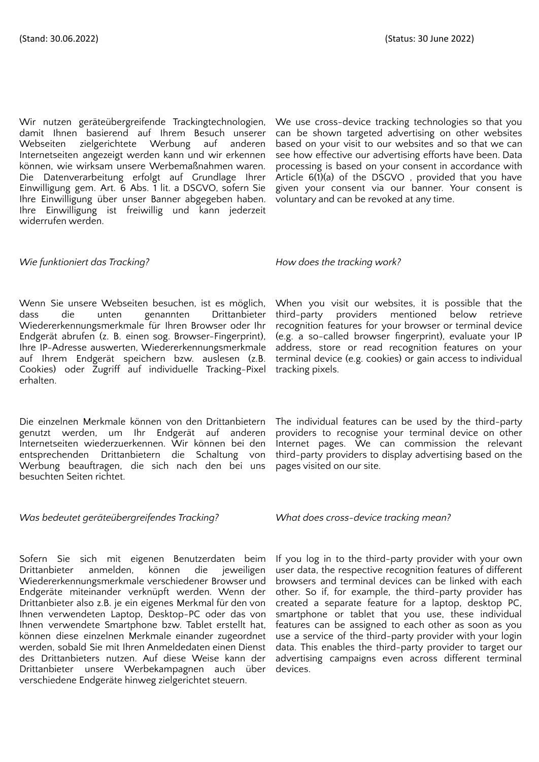Wir nutzen geräteübergreifende Trackingtechnologien, damit Ihnen basierend auf Ihrem Besuch unserer Webseiten zielgerichtete Werbung auf anderen Internetseiten angezeigt werden kann und wir erkennen können, wie wirksam unsere Werbemaßnahmen waren. Die Datenverarbeitung erfolgt auf Grundlage Ihrer Einwilligung gem. Art. 6 Abs. 1 lit. a DSGVO, sofern Sie Ihre Einwilligung über unser Banner abgegeben haben. Ihre Einwilligung ist freiwillig und kann jederzeit widerrufen werden.

### *Wie funktioniert das Tracking? How does the tracking work?*

Wenn Sie unsere Webseiten besuchen, ist es möglich, dass die unten genannten Drittanbieter Wiedererkennungsmerkmale für Ihren Browser oder Ihr Endgerät abrufen (z. B. einen sog. Browser-Fingerprint), Ihre IP-Adresse auswerten, Wiedererkennungsmerkmale auf Ihrem Endgerät speichern bzw. auslesen (z.B. Cookies) oder Zugriff auf individuelle Tracking-Pixel erhalten.

Die einzelnen Merkmale können von den Drittanbietern genutzt werden, um Ihr Endgerät auf anderen Internetseiten wiederzuerkennen. Wir können bei den entsprechenden Drittanbietern die Schaltung von Werbung beauftragen, die sich nach den bei uns besuchten Seiten richtet.

## *Was bedeutet geräteübergreifendes Tracking? What does cross-device tracking mean?*

Sofern Sie sich mit eigenen Benutzerdaten beim<br>Drittanbieter anmelden, können die ieweiligen Drittanbieter anmelden, können die jeweiligen Wiedererkennungsmerkmale verschiedener Browser und Endgeräte miteinander verknüpft werden. Wenn der Drittanbieter also z.B. je ein eigenes Merkmal für den von Ihnen verwendeten Laptop, Desktop-PC oder das von Ihnen verwendete Smartphone bzw. Tablet erstellt hat, können diese einzelnen Merkmale einander zugeordnet werden, sobald Sie mit Ihren Anmeldedaten einen Dienst des Drittanbieters nutzen. Auf diese Weise kann der Drittanbieter unsere Werbekampagnen auch über verschiedene Endgeräte hinweg zielgerichtet steuern.

We use cross-device tracking technologies so that you can be shown targeted advertising on other websites based on your visit to our websites and so that we can see how effective our advertising efforts have been. Data processing is based on your consent in accordance with Article 6(1)(a) of the DSGVO , provided that you have given your consent via our banner. Your consent is voluntary and can be revoked at any time.

When you visit our websites, it is possible that the third-party providers mentioned below retrieve recognition features for your browser or terminal device (e.g. a so-called browser fingerprint), evaluate your IP address, store or read recognition features on your terminal device (e.g. cookies) or gain access to individual tracking pixels.

The individual features can be used by the third-party providers to recognise your terminal device on other Internet pages. We can commission the relevant third-party providers to display advertising based on the pages visited on our site.

If you log in to the third-party provider with your own user data, the respective recognition features of different browsers and terminal devices can be linked with each other. So if, for example, the third-party provider has created a separate feature for a laptop, desktop PC, smartphone or tablet that you use, these individual features can be assigned to each other as soon as you use a service of the third-party provider with your login data. This enables the third-party provider to target our advertising campaigns even across different terminal devices.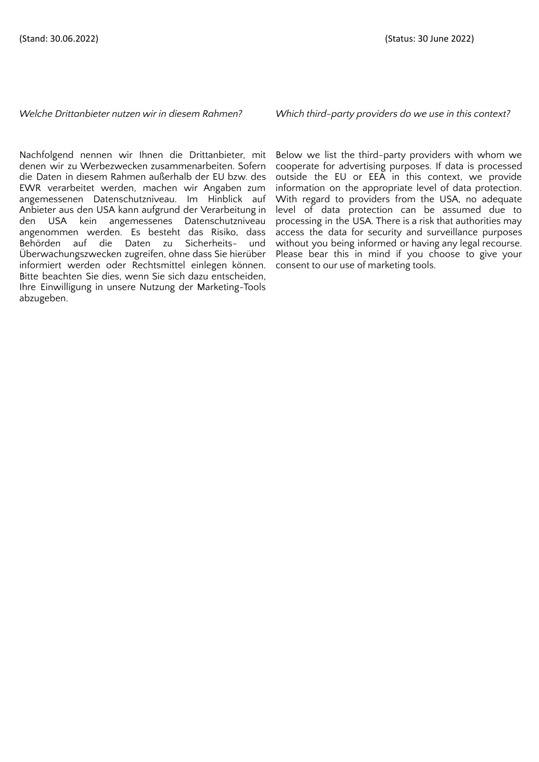*Welche Drittanbieter nutzen wir in diesem Rahmen? Which third-party providers do we use in this context?*

Nachfolgend nennen wir Ihnen die Drittanbieter, mit denen wir zu Werbezwecken zusammenarbeiten. Sofern die Daten in diesem Rahmen außerhalb der EU bzw. des EWR verarbeitet werden, machen wir Angaben zum angemessenen Datenschutzniveau. Im Hinblick auf Anbieter aus den USA kann aufgrund der Verarbeitung in den USA kein angemessenes Datenschutzniveau angenommen werden. Es besteht das Risiko, dass Behörden auf die Daten zu Sicherheits- und Überwachungszwecken zugreifen, ohne dass Sie hierüber informiert werden oder Rechtsmittel einlegen können. Bitte beachten Sie dies, wenn Sie sich dazu entscheiden, Ihre Einwilligung in unsere Nutzung der Marketing-Tools abzugeben.

Below we list the third-party providers with whom we cooperate for advertising purposes. If data is processed outside the EU or EEA in this context, we provide information on the appropriate level of data protection. With regard to providers from the USA, no adequate level of data protection can be assumed due to processing in the USA. There is a risk that authorities may access the data for security and surveillance purposes without you being informed or having any legal recourse. Please bear this in mind if you choose to give your consent to our use of marketing tools.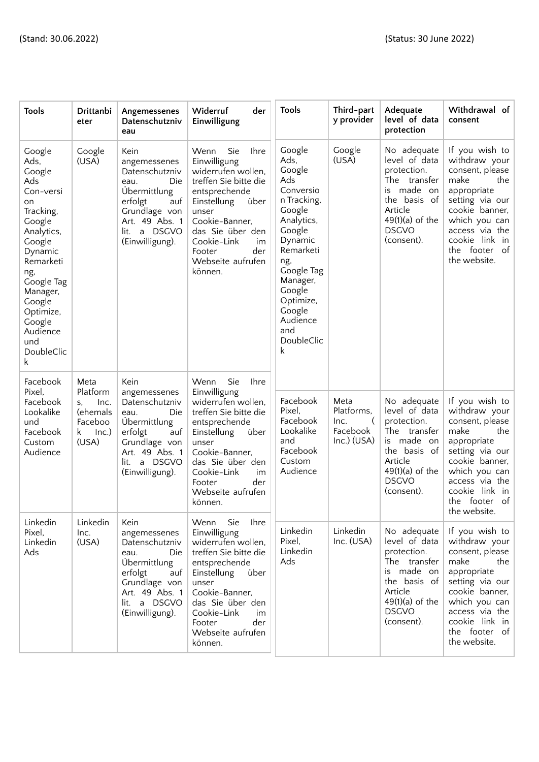| Tools                                                                                                                                                                                                                             | Drittanbi<br>eter                                                             | Angemessenes<br>Datenschutzniv<br>eau                                                                                                                         | Widerruf<br>der<br>Einwilligung                                                                                                                                                                                                                        | <b>Tools</b>                                                                                                                                                                                                                  | Third-part<br>y provider                                     | Adequate<br>level of data<br>protection                                                                                                                    | Withdrawal of<br>consent                                                                                                                                                                                              |
|-----------------------------------------------------------------------------------------------------------------------------------------------------------------------------------------------------------------------------------|-------------------------------------------------------------------------------|---------------------------------------------------------------------------------------------------------------------------------------------------------------|--------------------------------------------------------------------------------------------------------------------------------------------------------------------------------------------------------------------------------------------------------|-------------------------------------------------------------------------------------------------------------------------------------------------------------------------------------------------------------------------------|--------------------------------------------------------------|------------------------------------------------------------------------------------------------------------------------------------------------------------|-----------------------------------------------------------------------------------------------------------------------------------------------------------------------------------------------------------------------|
| Google<br>Ads,<br>Google<br>Ads<br>Con-versi<br>on<br>Tracking,<br>Google<br>Analytics,<br>Google<br>Dynamic<br>Remarketi<br>ng,<br>Google Tag<br>Manager,<br>Google<br>Optimize,<br>Google<br>Audience<br>und<br>DoubleClic<br>k | Google<br>(USA)                                                               | Kein<br>angemessenes<br>Datenschutzniv<br>Die<br>eau.<br>Übermittlung<br>erfolgt<br>auf<br>Grundlage von<br>Art. 49 Abs. 1<br>lit. a DSGVO<br>(Einwilligung). | Wenn<br>Sie<br><b>Ihre</b><br>Einwilligung<br>widerrufen wollen,<br>treffen Sie bitte die<br>entsprechende<br>Einstellung<br>über<br>unser<br>Cookie-Banner,<br>das Sie über den<br>Cookie-Link<br>im<br>der<br>Footer<br>Webseite aufrufen<br>können. | Google<br>Ads,<br>Google<br>Ads<br>Conversio<br>n Tracking,<br>Google<br>Analytics,<br>Google<br>Dynamic<br>Remarketi<br>ng,<br>Google Tag<br>Manager,<br>Google<br>Optimize,<br>Google<br>Audience<br>and<br>DoubleClic<br>k | Google<br>(USA)                                              | No adequate<br>level of data<br>protection.<br>The transfer<br>made on<br>is<br>the basis of<br>Article<br>$49(1)(a)$ of the<br><b>DSGVO</b><br>(consent). | If you wish to<br>withdraw your<br>consent, please<br>make<br>the<br>appropriate<br>setting via our<br>cookie banner,<br>which you can<br>access via the<br>cookie link in<br>the footer<br>of  <br>the website.      |
| Facebook<br>Pixel,<br>Facebook<br>Lookalike<br>und<br>Facebook<br>Custom<br>Audience                                                                                                                                              | Meta<br>Platform<br>Inc.<br>S,<br>(ehemals<br>Faceboo<br>k.<br>Inc.)<br>(USA) | Kein<br>angemessenes<br>Datenschutzniv<br>Die<br>eau.<br>Übermittlung<br>erfolgt<br>auf<br>Grundlage von<br>Art. 49 Abs. 1<br>lit. a DSGVO<br>(Einwilligung). | Sie<br>Wenn<br><b>Ihre</b><br>Einwilligung<br>widerrufen wollen,<br>treffen Sie bitte die<br>entsprechende<br>Einstellung<br>über<br>unser<br>Cookie-Banner,<br>das Sie über den<br>Cookie-Link<br>im<br>der<br>Footer<br>Webseite aufrufen<br>können. | Facebook<br>Pixel,<br>Facebook<br>Lookalike<br>and<br>Facebook<br>Custom<br>Audience                                                                                                                                          | Meta<br>Platforms,<br>Inc.<br>€<br>Facebook<br>$Inc.)$ (USA) | No adequate<br>level of data<br>protection.<br>The<br>transfer<br>is made on<br>the basis of<br>Article<br>$49(1)(a)$ of the<br><b>DSGVO</b><br>(consent). | If you wish to<br>withdraw your<br>consent, please<br>make<br>the<br>appropriate<br>setting via our<br>cookie banner,<br>which you can<br>access via the<br>cookie link in<br>$\circ$ f<br>the footer<br>the website. |
| Linkedin<br>Pixel,<br>Linkedin<br>Ads                                                                                                                                                                                             | Linkedin<br>Inc.<br>(USA)                                                     | Kein<br>angemessenes<br>Datenschutzniv<br>Die<br>eau.<br>Übermittlung<br>erfolgt<br>auf<br>Grundlage von<br>Art. 49 Abs. 1<br>lit. a DSGVO<br>(Einwilligung). | Ihre<br>Wenn<br>Sie<br>Einwilligung<br>widerrufen wollen,<br>treffen Sie bitte die<br>entsprechende<br>Einstellung<br>über<br>unser<br>Cookie-Banner,<br>das Sie über den<br>Cookie-Link<br>im<br>der<br>Footer<br>Webseite aufrufen<br>können.        | Linkedin<br>Pixel,<br>Linkedin<br>Ads                                                                                                                                                                                         | Linkedin<br>Inc. (USA)                                       | No adequate<br>level of data<br>protection.<br>The transfer<br>is made on<br>the basis of<br>Article<br>$49(1)(a)$ of the<br><b>DSGVO</b><br>(consent).    | If you wish to<br>withdraw your<br>consent, please<br>make<br>the<br>appropriate<br>setting via our<br>cookie banner,<br>which you can<br>access via the<br>cookie link in<br>the footer of<br>the website.           |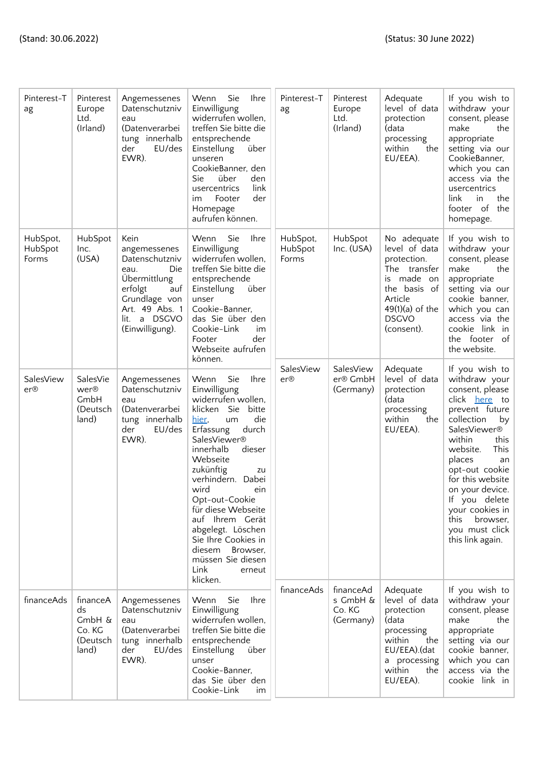| Pinterest-T<br>ag            | Pinterest<br>Europe<br>Ltd.<br>(Irland)                 | Angemessenes<br>Datenschutzniv<br>eau<br>(Datenverarbei<br>tung innerhalb<br>EU/des<br>der<br>EWR).                                                           | Sie<br>Wenn<br><b>Ihre</b><br>Einwilligung<br>widerrufen wollen,<br>treffen Sie bitte die<br>entsprechende<br>Einstellung<br>über<br>unseren<br>CookieBanner, den<br>über<br>den<br><b>Sie</b><br>link<br>usercentrics<br>der<br>Footer<br>im<br>Homepage<br>aufrufen können.                                                                                                                                                       | Pinterest-T<br>ag            | Pinterest<br>Europe<br>Ltd.<br>(Irland)      | Adequate<br>level of data<br>protection<br>(data<br>processing<br>within<br>the<br>EU/EEA).                                                                 | If you wish to<br>withdraw your<br>consent, please<br>make<br>the<br>appropriate<br>setting via our<br>CookieBanner,<br>which you can<br>access via the<br>usercentrics<br>link<br>the<br>in<br>footer of the<br>homepage.                                                                                                             |
|------------------------------|---------------------------------------------------------|---------------------------------------------------------------------------------------------------------------------------------------------------------------|-------------------------------------------------------------------------------------------------------------------------------------------------------------------------------------------------------------------------------------------------------------------------------------------------------------------------------------------------------------------------------------------------------------------------------------|------------------------------|----------------------------------------------|-------------------------------------------------------------------------------------------------------------------------------------------------------------|----------------------------------------------------------------------------------------------------------------------------------------------------------------------------------------------------------------------------------------------------------------------------------------------------------------------------------------|
| HubSpot,<br>HubSpot<br>Forms | HubSpot<br>Inc.<br>(USA)                                | Kein<br>angemessenes<br>Datenschutzniv<br>Die<br>eau.<br>Übermittlung<br>erfolgt<br>auf<br>Grundlage von<br>Art. 49 Abs. 1<br>lit. a DSGVO<br>(Einwilligung). | Sie<br>Wenn<br><b>Ihre</b><br>Einwilligung<br>widerrufen wollen,<br>treffen Sie bitte die<br>entsprechende<br>Einstellung<br>über<br>unser<br>Cookie-Banner,<br>das Sie über den<br>Cookie-Link<br>im<br>der<br>Footer<br>Webseite aufrufen<br>können.                                                                                                                                                                              | HubSpot,<br>HubSpot<br>Forms | HubSpot<br>Inc. (USA)                        | No adequate<br>level of data<br>protection.<br>The transfer<br>made on<br>is.<br>the basis of<br>Article<br>$49(1)(a)$ of the<br><b>DSGVO</b><br>(consent). | If you wish to<br>withdraw your<br>consent, please<br>make<br>the<br>appropriate<br>setting via our<br>cookie banner,<br>which you can<br>access via the<br>cookie link in<br>the footer of<br>the website.                                                                                                                            |
| SalesView<br>er@             | SalesVie<br>wer®<br>GmbH<br>(Deutsch<br>land)           | Angemessenes<br>Datenschutzniv<br>eau<br>(Datenverarbei<br>tung innerhalb<br>EU/des<br>der<br>EWR).                                                           | Wenn<br>Sie<br>Ihre<br>Einwilligung<br>widerrufen wollen,<br>klicken Sie<br>bitte<br>die<br>hier,<br>um<br>durch<br>Erfassung<br>SalesViewer <sup>®</sup><br>innerhalb<br>dieser<br>Webseite<br>zukünftig<br>zu<br>verhindern. Dabei<br>wird<br>ein<br>Opt-out-Cookie<br>für diese Webseite<br>auf Ihrem Gerät<br>abgelegt. Löschen<br>Sie Ihre Cookies in<br>diesem<br>Browser.<br>müssen Sie diesen<br>Link<br>erneut<br>klicken. | SalesView<br>er@             | SalesView<br>er® GmbH<br>(Germany)           | Adequate<br>level of data<br>protection<br>(data<br>processing<br>within<br>the<br>EU/EEA).                                                                 | If you wish to<br>withdraw your<br>consent, please<br>click here to<br>prevent future<br>collection<br>by<br>SalesViewer®<br>within<br>this<br>This<br>website.<br>places<br>an<br>opt-out cookie<br>for this website<br>on your device.<br>If you delete<br>your cookies in<br>this<br>browser,<br>you must click<br>this link again. |
| financeAds                   | financeA<br>ds<br>GmbH &<br>Co. KG<br>(Deutsch<br>land) | Angemessenes<br>Datenschutzniv<br>eau<br>(Datenverarbei<br>tung innerhalb<br>EU/des<br>der<br>EWR).                                                           | Wenn<br>Sie<br><b>Ihre</b><br>Einwilligung<br>widerrufen wollen,<br>treffen Sie bitte die<br>entsprechende<br><b>Einstellung</b><br>über<br>unser<br>Cookie-Banner,<br>das Sie über den<br>Cookie-Link<br>im                                                                                                                                                                                                                        | financeAds                   | financeAd<br>s GmbH &<br>Co. KG<br>(Germany) | Adequate<br>level of data<br>protection<br>(data<br>processing<br>within<br>the<br>EU/EEA).(dat<br>a processing<br>within<br>the<br>EU/EEA).                | If you wish to<br>withdraw your<br>consent, please<br>make<br>the<br>appropriate<br>setting via our<br>cookie banner,<br>which you can<br>access via the<br>cookie link in                                                                                                                                                             |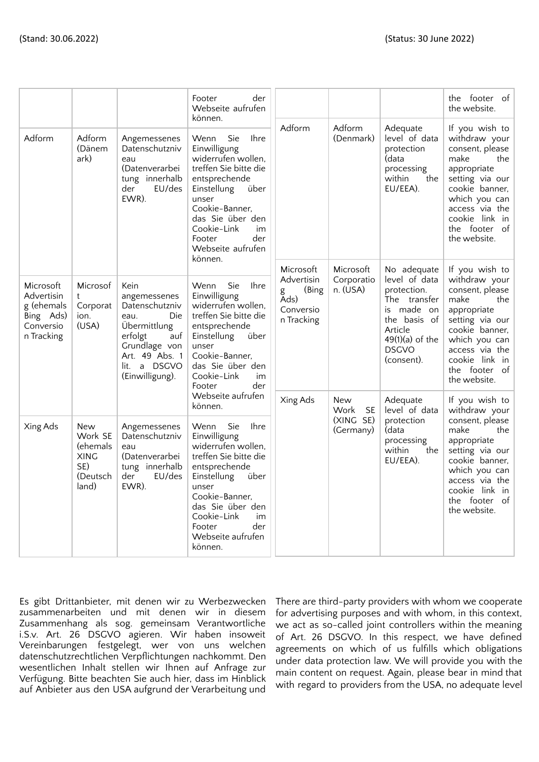|                                                                               |                                                                              |                                                                                                                                                               | Footer<br>der<br>Webseite aufrufen<br>können.                                                                                                                                                                                                                             |                                                                          |                                                           |                                                                                                                                                         | the footer of<br>the website.                                                                                                                                                                               |
|-------------------------------------------------------------------------------|------------------------------------------------------------------------------|---------------------------------------------------------------------------------------------------------------------------------------------------------------|---------------------------------------------------------------------------------------------------------------------------------------------------------------------------------------------------------------------------------------------------------------------------|--------------------------------------------------------------------------|-----------------------------------------------------------|---------------------------------------------------------------------------------------------------------------------------------------------------------|-------------------------------------------------------------------------------------------------------------------------------------------------------------------------------------------------------------|
| Adform                                                                        | Adform<br>(Dänem<br>ark)                                                     | Angemessenes<br>Datenschutzniv<br>eau<br>(Datenverarbei<br>tung innerhalb<br>EU/des<br>der<br>EWR).                                                           | Wenn<br><b>Sie</b><br><b>Ihre</b><br>Einwilligung<br>widerrufen wollen,<br>treffen Sie bitte die<br>entsprechende<br>Einstellung<br>über<br>unser<br>Cookie-Banner,<br>das Sie über den<br>Cookie-Link<br>im<br>der<br>Footer<br>Webseite aufrufen<br>können.             | Adform                                                                   | Adform<br>(Denmark)                                       | Adequate<br>level of data<br>protection<br>(data<br>processing<br>within<br>the<br>EU/EEA).                                                             | If you wish to<br>withdraw your<br>consent, please<br>make<br>the<br>appropriate<br>setting via our<br>cookie banner,<br>which you can<br>access via the<br>cookie link in<br>the footer of<br>the website. |
| Microsoft<br>Advertisin<br>g (ehemals<br>Bing Ads)<br>Conversio<br>n Tracking | Microsof<br>t<br>Corporat<br>ion.<br>(USA)                                   | Kein<br>angemessenes<br>Datenschutzniv<br>Die<br>eau.<br>Übermittlung<br>erfolgt<br>auf<br>Grundlage von<br>Art. 49 Abs. 1<br>lit. a DSGVO<br>(Einwilligung). | Sie<br><b>Ihre</b><br>Wenn<br>Einwilligung<br>widerrufen wollen,<br>treffen Sie bitte die<br>entsprechende<br>Einstellung<br>über<br>unser<br>Cookie-Banner,<br>das Sie über den<br>Cookie-Link<br>im<br>der<br>Footer<br>Webseite aufrufen                               | Microsoft<br>Advertisin<br>(Bing<br>g<br>Ads)<br>Conversio<br>n Tracking | Microsoft<br>Corporatio<br>n. (USA)                       | No adequate<br>level of data<br>protection.<br>The transfer<br>is made on<br>the basis of<br>Article<br>$49(1)(a)$ of the<br><b>DSGVO</b><br>(consent). | If you wish to<br>withdraw your<br>consent, please<br>the<br>make<br>appropriate<br>setting via our<br>cookie banner,<br>which you can<br>access via the<br>cookie link in<br>the footer of<br>the website. |
| Xing Ads                                                                      | <b>New</b><br>Work SE<br>(ehemals<br><b>XING</b><br>SE)<br>(Deutsch<br>land) | Angemessenes<br>Datenschutzniv<br>eau<br>(Datenverarbei<br>tung innerhalb<br>der<br>EU/des<br>EWR).                                                           | können.<br>Wenn<br><b>Sie</b><br><b>I</b> hre<br>Einwilligung<br>widerrufen wollen,<br>treffen Sie bitte die<br>entsprechende<br>Einstellung<br>über<br>unser<br>Cookie-Banner,<br>das Sie über den<br>Cookie-Link<br>im<br>der<br>Footer<br>Webseite aufrufen<br>können. | Xing Ads                                                                 | <b>New</b><br><b>SE</b><br>Work<br>(XING SE)<br>(Germany) | Adequate<br>level of data<br>protection<br>(data<br>processing<br>within<br>the<br>EU/EEA).                                                             | If you wish to<br>withdraw your<br>consent, please<br>make<br>the<br>appropriate<br>setting via our<br>cookie banner,<br>which you can<br>access via the<br>cookie link in<br>the footer of<br>the website. |

Es gibt Drittanbieter, mit denen wir zu Werbezwecken zusammenarbeiten und mit denen wir in diesem Zusammenhang als sog. gemeinsam Verantwortliche i.S.v. Art. 26 DSGVO agieren. Wir haben insoweit Vereinbarungen festgelegt, wer von uns welchen datenschutzrechtlichen Verpflichtungen nachkommt. Den wesentlichen Inhalt stellen wir Ihnen auf Anfrage zur Verfügung. Bitte beachten Sie auch hier, dass im Hinblick auf Anbieter aus den USA aufgrund der Verarbeitung und

There are third-party providers with whom we cooperate for advertising purposes and with whom, in this context, we act as so-called joint controllers within the meaning of Art. 26 DSGVO. In this respect, we have defined agreements on which of us fulfills which obligations under data protection law. We will provide you with the main content on request. Again, please bear in mind that with regard to providers from the USA, no adequate level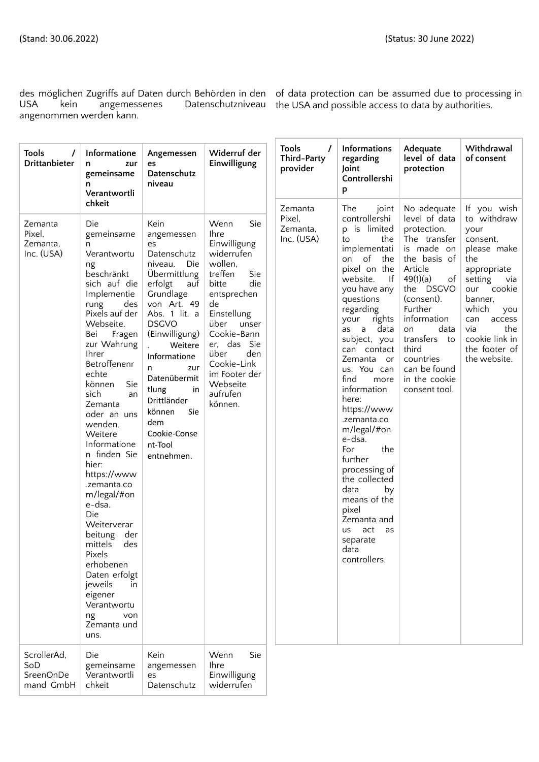mand GmbH | chkeit

USA kein angemessenes Datenschutzniveau the USA and possible access to data by authorities. angenommen werden kann.

des möglichen Zugriffs auf Daten durch Behörden in den of data protection can be assumed due to processing in

| <b>Tools</b><br>$\prime$<br>Drittanbieter    | Informatione<br>zur<br>n<br>gemeinsame<br>n<br>Verantwortli                                                                                                                                                                                                                                                                                                                                                                                                                                                                                                                   | Angemessen<br>es<br>Datenschutz<br>niveau                                                                                                                                                                                                                                                                                        | Widerruf der<br>Einwilligung                                                                                                                                                                                                                                               | <b>Tools</b><br>$\prime$<br>Third-Party<br>provider | Informations<br>regarding<br>Joint<br>Controllershi<br>p                                                                                                                                                                                                                                                                                                                                                                                                                                                                                            | Adequate<br>level of data<br>protection                                                                                                                                                                                                                                           | Withdrawal<br>of consent                                                                                                                                                                                                         |
|----------------------------------------------|-------------------------------------------------------------------------------------------------------------------------------------------------------------------------------------------------------------------------------------------------------------------------------------------------------------------------------------------------------------------------------------------------------------------------------------------------------------------------------------------------------------------------------------------------------------------------------|----------------------------------------------------------------------------------------------------------------------------------------------------------------------------------------------------------------------------------------------------------------------------------------------------------------------------------|----------------------------------------------------------------------------------------------------------------------------------------------------------------------------------------------------------------------------------------------------------------------------|-----------------------------------------------------|-----------------------------------------------------------------------------------------------------------------------------------------------------------------------------------------------------------------------------------------------------------------------------------------------------------------------------------------------------------------------------------------------------------------------------------------------------------------------------------------------------------------------------------------------------|-----------------------------------------------------------------------------------------------------------------------------------------------------------------------------------------------------------------------------------------------------------------------------------|----------------------------------------------------------------------------------------------------------------------------------------------------------------------------------------------------------------------------------|
| Zemanta<br>Pixel,<br>Zemanta,<br>Inc. (USA)  | chkeit<br>Die<br>gemeinsame<br>n<br>Verantwortu<br>ng<br>beschränkt<br>sich auf die<br>Implementie<br>rung<br>des<br>Pixels auf der<br>Webseite.<br>Bei<br>Fragen<br>zur Wahrung<br>Ihrer<br>Betroffenenr<br>echte<br>Sie<br>können<br>sich<br>an<br>Zemanta<br>oder an uns<br>wenden.<br>Weitere<br>Informatione<br>n finden Sie<br>hier:<br>https://www<br>.zemanta.co<br>m/legal/#on<br>e-dsa.<br>Die<br>Weiterverar<br>beitung der<br>mittels des<br>Pixels<br>erhobenen<br>Daten erfolgt<br>jeweils<br>in.<br>eigener<br>Verantwortu<br>ng<br>von<br>Zemanta und<br>uns. | Kein<br>angemessen<br>es<br>Datenschutz<br>Die<br>niveau.<br>Übermittlung<br>erfolgt<br>auf<br>Grundlage<br>von Art. 49<br>Abs. 1 lit. a<br><b>DSGVO</b><br>(Einwilligung)<br>Weitere<br>Informatione<br>zur<br>n<br>Datenübermit<br>tlung<br>in<br>Drittländer<br>können<br>Sie<br>dem<br>Cookie-Conse<br>nt-Tool<br>entnehmen. | Wenn<br>Sie<br><b>Ihre</b><br>Einwilligung<br>widerrufen<br>wollen,<br>treffen<br>Sie<br>die<br>bitte<br>entsprechen<br>de<br>Einstellung<br>über<br>unser<br>Cookie-Bann<br>er, das Sie<br>den<br>über<br>Cookie-Link<br>im Footer der<br>Webseite<br>aufrufen<br>können. | Zemanta<br>Pixel,<br>Zemanta,<br>Inc. (USA)         | The<br>joint<br>controllershi<br>p is limited<br>the<br>to<br>implementati<br>of the<br>on<br>pixel on the<br>website.<br> f <br>you have any<br>questions<br>regarding<br>rights<br>your<br>as a data<br>subject, you<br>can contact<br>Zemanta<br>or<br>us. You can<br>find<br>more<br>information<br>here:<br>https://www<br>.zemanta.co<br>m/legal/#on<br>e-dsa.<br>the<br>For<br>further<br>processing of<br>the collected<br>data<br>by<br>means of the<br>pixel<br>Zemanta and<br>act<br><b>us</b><br>as<br>separate<br>data<br>controllers. | No adequate<br>level of data<br>protection.<br>The transfer<br>is made on<br>the basis of<br>Article<br>49(1)(a)<br>of<br>the DSGVO<br>(consent).<br>Further<br>information<br>data<br>on<br>transfers to<br>third<br>countries<br>can be found<br>in the cookie<br>consent tool. | If you wish<br>to withdraw<br>your<br>consent,<br>please make<br>the<br>appropriate<br>setting<br>via<br>our cookie<br>banner,<br>which<br>you<br>access<br>can<br>via<br>the<br>cookie link in<br>the footer of<br>the website. |
| ScrollerAd,<br>SoD<br>SreenOnDe<br>mand GmbH | Die<br>gemeinsame<br>Verantwortli<br>chkeit                                                                                                                                                                                                                                                                                                                                                                                                                                                                                                                                   | Kein<br>angemessen<br>es<br>Datenschutz                                                                                                                                                                                                                                                                                          | Wenn<br>Sie<br><b>Ihre</b><br>Einwilligung<br>widerrufen                                                                                                                                                                                                                   |                                                     |                                                                                                                                                                                                                                                                                                                                                                                                                                                                                                                                                     |                                                                                                                                                                                                                                                                                   |                                                                                                                                                                                                                                  |

widerrufen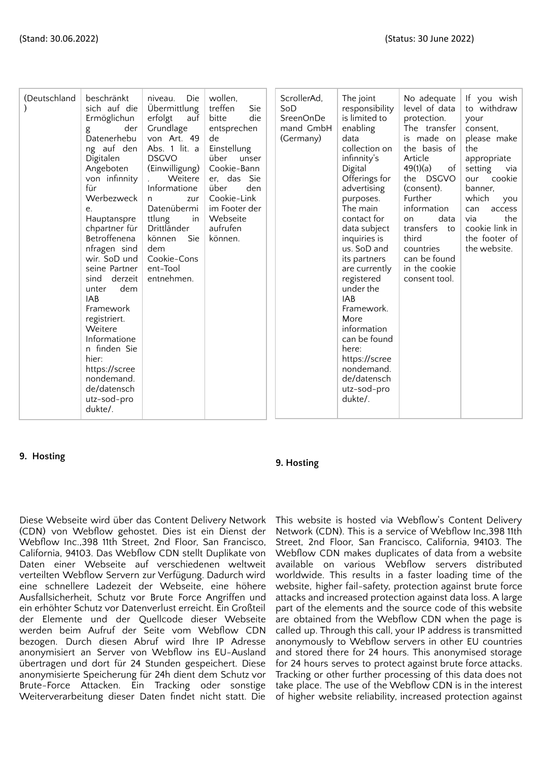| the<br><b>DSGVO</b><br>infinnity's<br>Article<br>Digitalen<br>über<br>unser<br>(Einwilligung)<br>Cookie-Bann<br>49(1)(a)<br>of<br>Angeboten<br>Digital<br>setting<br>Offerings for<br>the DSGVO<br>von infinnity<br>Weitere<br>er, das Sie<br>our<br>für<br>Informatione<br>über<br>den<br>(consent).<br>advertising<br>banner.<br>Cookie-Link<br>Further<br>which<br>Werbezweck<br>purposes.<br>zur<br>n<br>Datenübermi<br>im Footer der<br>The main<br>information<br>can<br>e.<br>via<br>in<br>Webseite<br>ttlung<br>contact for<br>data<br>Hauptanspre<br>on<br>Drittländer<br>aufrufen<br>transfers to<br>data subject<br>chpartner für<br>können<br>Sie<br>können.<br>third<br>Betroffenena<br>inquiries is<br>us. SoD and<br>nfragen sind<br>dem<br>countries<br>Cookie-Cons<br>can be found<br>wir. SoD und<br>its partners<br>ent-Tool<br>seine Partner<br>are currently<br>in the cookie<br>entnehmen.<br>registered<br>sind<br>derzeit<br>consent tool.<br>under the<br>dem<br>unter<br><b>IAB</b><br><b>IAB</b><br>Framework<br>Framework.<br>More<br>registriert.<br>information<br>Weitere<br>Informatione<br>can be found<br>n finden Sie<br>here:<br>hier:<br>https://scree<br>https://scree<br>nondemand.<br>nondemand.<br>de/datensch<br>de/datensch<br>utz-sod-pro<br>dukte/.<br>utz-sod-pro<br>dukte/. | (Deutschland | beschränkt<br>sich auf die<br>Ermöglichun<br>der<br>g<br>Datenerhebu<br>ng auf den | niveau.<br>Die<br>Übermittlung<br>erfolgt<br>auf<br>Grundlage<br>von Art. 49<br>Abs. 1 lit. a | wollen,<br>treffen<br>Sie<br>die<br>bitte<br>entsprechen<br>de<br>Einstellung |  | ScrollerAd,<br>So <sub>D</sub><br>SreenOnDe<br>mand GmbH<br>(Germany) | The joint<br>responsibility<br>is limited to<br>enabling<br>data<br>collection on | No adequate<br>level of data<br>protection.<br>The transfer<br>is made on<br>the basis of | If you wish<br>to withdraw<br>your<br>consent,<br>please make<br>appropriate<br>via<br>cookie<br>you<br>access<br>the<br>cookie link in<br>the footer of<br>the website. |
|----------------------------------------------------------------------------------------------------------------------------------------------------------------------------------------------------------------------------------------------------------------------------------------------------------------------------------------------------------------------------------------------------------------------------------------------------------------------------------------------------------------------------------------------------------------------------------------------------------------------------------------------------------------------------------------------------------------------------------------------------------------------------------------------------------------------------------------------------------------------------------------------------------------------------------------------------------------------------------------------------------------------------------------------------------------------------------------------------------------------------------------------------------------------------------------------------------------------------------------------------------------------------------------------------------------------------|--------------|------------------------------------------------------------------------------------|-----------------------------------------------------------------------------------------------|-------------------------------------------------------------------------------|--|-----------------------------------------------------------------------|-----------------------------------------------------------------------------------|-------------------------------------------------------------------------------------------|--------------------------------------------------------------------------------------------------------------------------------------------------------------------------|
|----------------------------------------------------------------------------------------------------------------------------------------------------------------------------------------------------------------------------------------------------------------------------------------------------------------------------------------------------------------------------------------------------------------------------------------------------------------------------------------------------------------------------------------------------------------------------------------------------------------------------------------------------------------------------------------------------------------------------------------------------------------------------------------------------------------------------------------------------------------------------------------------------------------------------------------------------------------------------------------------------------------------------------------------------------------------------------------------------------------------------------------------------------------------------------------------------------------------------------------------------------------------------------------------------------------------------|--------------|------------------------------------------------------------------------------------|-----------------------------------------------------------------------------------------------|-------------------------------------------------------------------------------|--|-----------------------------------------------------------------------|-----------------------------------------------------------------------------------|-------------------------------------------------------------------------------------------|--------------------------------------------------------------------------------------------------------------------------------------------------------------------------|

### **9. Hosting**

### **9. Hosting**

Diese Webseite wird über das Content Delivery Network (CDN) von Webflow gehostet. Dies ist ein Dienst der Webflow Inc.,398 11th Street, 2nd Floor, San Francisco, California, 94103. Das Webflow CDN stellt Duplikate von Daten einer Webseite auf verschiedenen weltweit verteilten Webflow Servern zur Verfügung. Dadurch wird eine schnellere Ladezeit der Webseite, eine höhere Ausfallsicherheit, Schutz vor Brute Force Angriffen und ein erhöhter Schutz vor Datenverlust erreicht. Ein Großteil der Elemente und der Quellcode dieser Webseite werden beim Aufruf der Seite vom Webflow CDN bezogen. Durch diesen Abruf wird Ihre IP Adresse anonymisiert an Server von Webflow ins EU-Ausland übertragen und dort für 24 Stunden gespeichert. Diese anonymisierte Speicherung für 24h dient dem Schutz vor Brute-Force Attacken. Ein Tracking oder sonstige Weiterverarbeitung dieser Daten findet nicht statt. Die

This website is hosted via Webflow's Content Delivery Network (CDN). This is a service of Webflow Inc,398 11th Street, 2nd Floor, San Francisco, California, 94103. The Webflow CDN makes duplicates of data from a website available on various Webflow servers distributed worldwide. This results in a faster loading time of the website, higher fail-safety, protection against brute force attacks and increased protection against data loss. A large part of the elements and the source code of this website are obtained from the Webflow CDN when the page is called up. Through this call, your IP address is transmitted anonymously to Webflow servers in other EU countries and stored there for 24 hours. This anonymised storage for 24 hours serves to protect against brute force attacks. Tracking or other further processing of this data does not take place. The use of the Webflow CDN is in the interest of higher website reliability, increased protection against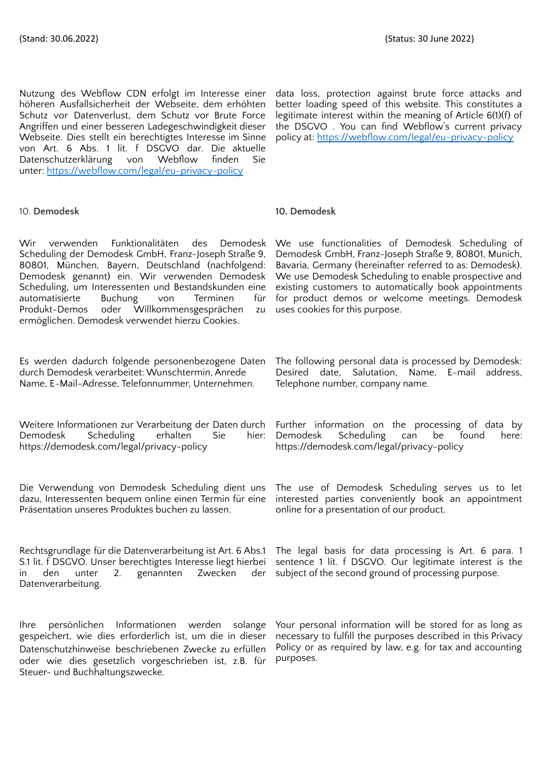Nutzung des Webflow CDN erfolgt im Interesse einer höheren Ausfallsicherheit der Webseite, dem erhöhten Schutz vor Datenverlust, dem Schutz vor Brute Force Angriffen und einer besseren Ladegeschwindigkeit dieser Webseite. Dies stellt ein berechtigtes Interesse im Sinne von Art. 6 Abs. 1 lit. f DSGVO dar. Die aktuelle Datenschutzerklärung von Webflow finden Sie unter: <https://webflow.com/legal/eu-privacy-policy>

data loss, protection against brute force attacks and better loading speed of this website. This constitutes a legitimate interest within the meaning of Article 6(1)(f) of the DSGVO . You can find Webflow's current privacy policy at: <https://webflow.com/legal/eu-privacy-policy>

#### 10. **Demodesk 10. Demodesk**

Wir verwenden Funktionalitäten des Demodesk Scheduling der Demodesk GmbH, Franz-Joseph Straße 9, 80801, München, Bayern, Deutschland (nachfolgend: Demodesk genannt) ein. Wir verwenden Demodesk Scheduling, um Interessenten und Bestandskunden eine<br>automatisierte Buchung von Terminen für automatisierte Buchung von Terminen für Produkt-Demos oder Willkommensgesprächen zu ermöglichen. Demodesk verwendet hierzu Cookies.

Es werden dadurch folgende personenbezogene Daten durch Demodesk verarbeitet: Wunschtermin, Anrede Name, E-Mail-Adresse, Telefonnummer, Unternehmen.

Weitere Informationen zur Verarbeitung der Daten durch Further information on the processing of data by Demodesk Scheduling erhalten Sie hier: https://demodesk.com/legal/privacy-policy

Die Verwendung von Demodesk Scheduling dient uns dazu, Interessenten bequem online einen Termin für eine Präsentation unseres Produktes buchen zu lassen.

Rechtsgrundlage für die Datenverarbeitung ist Art. 6 Abs.1 S.1 lit. f DSGVO. Unser berechtigtes Interesse liegt hierbei in den unter 2. genannten Zwecken der Datenverarbeitung.

Ihre persönlichen Informationen werden solange gespeichert, wie dies erforderlich ist, um die in dieser Datenschutzhinweise beschriebenen Zwecke zu erfüllen oder wie dies gesetzlich vorgeschrieben ist, z.B. für Steuer- und Buchhaltungszwecke.

We use functionalities of Demodesk Scheduling of Demodesk GmbH, Franz-Joseph Straße 9, 80801, Munich, Bavaria, Germany (hereinafter referred to as: Demodesk). We use Demodesk Scheduling to enable prospective and existing customers to automatically book appointments for product demos or welcome meetings. Demodesk uses cookies for this purpose.

The following personal data is processed by Demodesk: Desired date, Salutation, Name, E-mail address, Telephone number, company name.

Demodesk Scheduling can be found here: https://demodesk.com/legal/privacy-policy

The use of Demodesk Scheduling serves us to let interested parties conveniently book an appointment online for a presentation of our product.

The legal basis for data processing is Art. 6 para. 1 sentence 1 lit. f DSGVO. Our legitimate interest is the subject of the second ground of processing purpose.

Your personal information will be stored for as long as necessary to fulfill the purposes described in this Privacy Policy or as required by law, e.g. for tax and accounting purposes.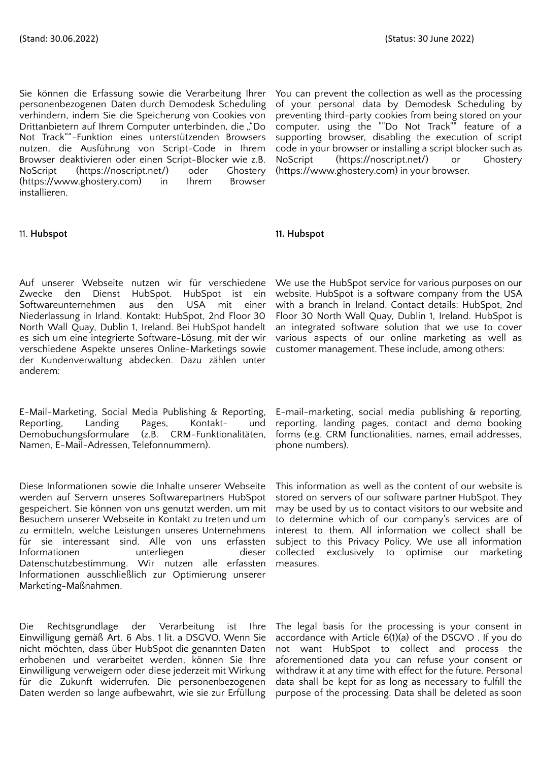Sie können die Erfassung sowie die Verarbeitung Ihrer personenbezogenen Daten durch Demodesk Scheduling verhindern, indem Sie die Speicherung von Cookies von Drittanbietern auf Ihrem Computer unterbinden, die ""Do Not Track""-Funktion eines unterstützenden Browsers nutzen, die Ausführung von Script-Code in Ihrem Browser deaktivieren oder einen Script-Blocker wie z.B. NoScript (https://noscript.net/) oder Ghostery (https://www.ghostery.com) in Ihrem Browser installieren.

### 11. **Hubspot 11. Hubspot**

Auf unserer Webseite nutzen wir für verschiedene Zwecke den Dienst HubSpot. HubSpot ist ein Softwareunternehmen aus den USA mit einer Niederlassung in Irland. Kontakt: HubSpot, 2nd Floor 30 North Wall Quay, Dublin 1, Ireland. Bei HubSpot handelt es sich um eine integrierte Software-Lösung, mit der wir verschiedene Aspekte unseres Online-Marketings sowie der Kundenverwaltung abdecken. Dazu zählen unter anderem:

E-Mail-Marketing, Social Media Publishing & Reporting, Reporting, Landing Pages, Kontakt- und Demobuchungsformulare (z.B. CRM-Funktionalitäten, Namen, E-Mail-Adressen, Telefonnummern).

Diese Informationen sowie die Inhalte unserer Webseite werden auf Servern unseres Softwarepartners HubSpot gespeichert. Sie können von uns genutzt werden, um mit Besuchern unserer Webseite in Kontakt zu treten und um zu ermitteln, welche Leistungen unseres Unternehmens für sie interessant sind. Alle von uns erfassten Informationen unterliegen dieser Datenschutzbestimmung. Wir nutzen alle erfassten Informationen ausschließlich zur Optimierung unserer Marketing-Maßnahmen.

Die Rechtsgrundlage der Verarbeitung ist Ihre Einwilligung gemäß Art. 6 Abs. 1 lit. a DSGVO. Wenn Sie nicht möchten, dass über HubSpot die genannten Daten erhobenen und verarbeitet werden, können Sie Ihre Einwilligung verweigern oder diese jederzeit mit Wirkung für die Zukunft widerrufen. Die personenbezogenen Daten werden so lange aufbewahrt, wie sie zur Erfüllung

You can prevent the collection as well as the processing of your personal data by Demodesk Scheduling by preventing third-party cookies from being stored on your computer, using the ""Do Not Track"" feature of a supporting browser, disabling the execution of script code in your browser or installing a script blocker such as NoScript (https://noscript.net/) or Ghostery (https://www.ghostery.com) in your browser.

We use the HubSpot service for various purposes on our website. HubSpot is a software company from the USA with a branch in Ireland. Contact details: HubSpot, 2nd Floor 30 North Wall Quay, Dublin 1, Ireland. HubSpot is an integrated software solution that we use to cover various aspects of our online marketing as well as customer management. These include, among others:

E-mail-marketing, social media publishing & reporting, reporting, landing pages, contact and demo booking forms (e.g. CRM functionalities, names, email addresses, phone numbers).

This information as well as the content of our website is stored on servers of our software partner HubSpot. They may be used by us to contact visitors to our website and to determine which of our company's services are of interest to them. All information we collect shall be subject to this Privacy Policy. We use all information collected exclusively to optimise our marketing measures.

The legal basis for the processing is your consent in accordance with Article 6(1)(a) of the DSGVO . If you do not want HubSpot to collect and process the aforementioned data you can refuse your consent or withdraw it at any time with effect for the future. Personal data shall be kept for as long as necessary to fulfill the purpose of the processing. Data shall be deleted as soon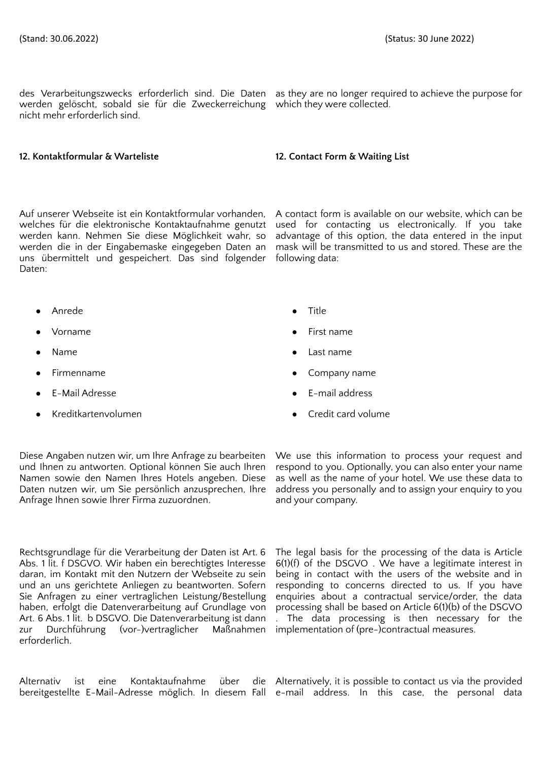des Verarbeitungszwecks erforderlich sind. Die Daten as they are no longer required to achieve the purpose for werden gelöscht, sobald sie für die Zweckerreichung which they were collected. nicht mehr erforderlich sind.

### **12. Kontaktformular & Warteliste 12. Contact Form & Waiting List**

Auf unserer Webseite ist ein Kontaktformular vorhanden, welches für die elektronische Kontaktaufnahme genutzt werden kann. Nehmen Sie diese Möglichkeit wahr, so werden die in der Eingabemaske eingegeben Daten an uns übermittelt und gespeichert. Das sind folgender Daten:

● Anrede ● Title

- 
- 
- 
- 
- 

Diese Angaben nutzen wir, um Ihre Anfrage zu bearbeiten und Ihnen zu antworten. Optional können Sie auch Ihren Namen sowie den Namen Ihres Hotels angeben. Diese Daten nutzen wir, um Sie persönlich anzusprechen, Ihre Anfrage Ihnen sowie Ihrer Firma zuzuordnen.

Rechtsgrundlage für die Verarbeitung der Daten ist Art. 6 Abs. 1 lit. f DSGVO. Wir haben ein berechtigtes Interesse daran, im Kontakt mit den Nutzern der Webseite zu sein und an uns gerichtete Anliegen zu beantworten. Sofern Sie Anfragen zu einer vertraglichen Leistung/Bestellung haben, erfolgt die Datenverarbeitung auf Grundlage von Art. 6 Abs. 1 lit. b DSGVO. Die Datenverarbeitung ist dann zur Durchführung (vor-)vertraglicher Maßnahmen erforderlich.

bereitgestellte E-Mail-Adresse möglich. In diesem Fall e-mail address. In this case, the personal data

A contact form is available on our website, which can be used for contacting us electronically. If you take advantage of this option, the data entered in the input mask will be transmitted to us and stored. These are the following data:

- 
- **Vorname** First name
- **Name a** Last name **a** Last name
- Firmenname **business and the Company name Company name**
- E-Mail Adresse E-mail address
- Kreditkartenvolumen Credit card volume

We use this information to process your request and respond to you. Optionally, you can also enter your name as well as the name of your hotel. We use these data to address you personally and to assign your enquiry to you and your company.

The legal basis for the processing of the data is Article 6(1)(f) of the DSGVO . We have a legitimate interest in being in contact with the users of the website and in responding to concerns directed to us. If you have enquiries about a contractual service/order, the data processing shall be based on Article 6(1)(b) of the DSGVO The data processing is then necessary for the implementation of (pre-)contractual measures.

Alternativ ist eine Kontaktaufnahme über die Alternatively, it is possible-to-contact-us-via-the-provided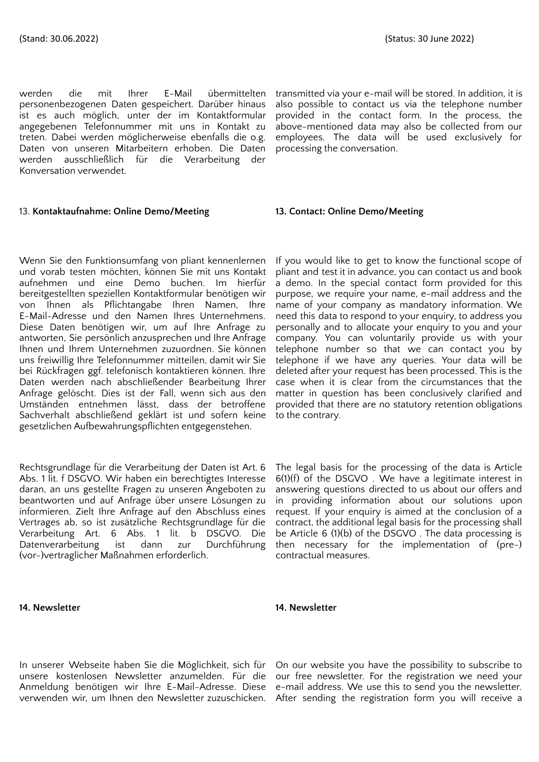werden die mit Ihrer E-Mail übermittelten personenbezogenen Daten gespeichert. Darüber hinaus ist es auch möglich, unter der im Kontaktformular angegebenen Telefonnummer mit uns in Kontakt zu treten. Dabei werden möglicherweise ebenfalls die o.g. Daten von unseren Mitarbeitern erhoben. Die Daten werden ausschließlich für die Verarbeitung der Konversation verwendet.

#### 13. **Kontaktaufnahme: Online Demo/Meeting 13. Contact: Online Demo/Meeting**

Wenn Sie den Funktionsumfang von pliant kennenlernen und vorab testen möchten, können Sie mit uns Kontakt aufnehmen und eine Demo buchen. Im hierfür bereitgestellten speziellen Kontaktformular benötigen wir von Ihnen als Pflichtangabe Ihren Namen, Ihre E-Mail-Adresse und den Namen Ihres Unternehmens. Diese Daten benötigen wir, um auf Ihre Anfrage zu antworten, Sie persönlich anzusprechen und Ihre Anfrage Ihnen und Ihrem Unternehmen zuzuordnen. Sie können uns freiwillig Ihre Telefonnummer mitteilen, damit wir Sie bei Rückfragen ggf. telefonisch kontaktieren können. Ihre Daten werden nach abschließender Bearbeitung Ihrer Anfrage gelöscht. Dies ist der Fall, wenn sich aus den Umständen entnehmen lässt, dass der betroffene Sachverhalt abschließend geklärt ist und sofern keine gesetzlichen Aufbewahrungspflichten entgegenstehen.

Rechtsgrundlage für die Verarbeitung der Daten ist Art. 6 Abs. 1 lit. f DSGVO. Wir haben ein berechtigtes Interesse daran, an uns gestellte Fragen zu unseren Angeboten zu beantworten und auf Anfrage über unsere Lösungen zu informieren. Zielt Ihre Anfrage auf den Abschluss eines Vertrages ab, so ist zusätzliche Rechtsgrundlage für die Verarbeitung Art. 6 Abs. 1 lit. b DSGVO. Die Datenverarbeitung ist dann zur Durchführung (vor-)vertraglicher Maßnahmen erforderlich.

#### **14. Newsletter 14. Newsletter**

transmitted via your e-mail will be stored. In addition, it is also possible to contact us via the telephone number provided in the contact form. In the process, the above-mentioned data may also be collected from our employees. The data will be used exclusively for processing the conversation.

If you would like to get to know the functional scope of pliant and test it in advance, you can contact us and book a demo. In the special contact form provided for this purpose, we require your name, e-mail address and the name of your company as mandatory information. We need this data to respond to your enquiry, to address you personally and to allocate your enquiry to you and your company. You can voluntarily provide us with your telephone number so that we can contact you by telephone if we have any queries. Your data will be deleted after your request has been processed. This is the case when it is clear from the circumstances that the matter in question has been conclusively clarified and provided that there are no statutory retention obligations to the contrary.

The legal basis for the processing of the data is Article 6(1)(f) of the DSGVO . We have a legitimate interest in answering questions directed to us about our offers and in providing information about our solutions upon request. If your enquiry is aimed at the conclusion of a contract, the additional legal basis for the processing shall be Article 6 (1)(b) of the DSGVO . The data processing is then necessary for the implementation of (pre-) contractual measures.

In unserer Webseite haben Sie die Möglichkeit, sich für unsere kostenlosen Newsletter anzumelden. Für die Anmeldung benötigen wir Ihre E-Mail-Adresse. Diese verwenden wir, um Ihnen den Newsletter zuzuschicken. After sending the registration form you will receive a

On our website you have the possibility to subscribe to our free newsletter. For the registration we need your e-mail address. We use this to send you the newsletter.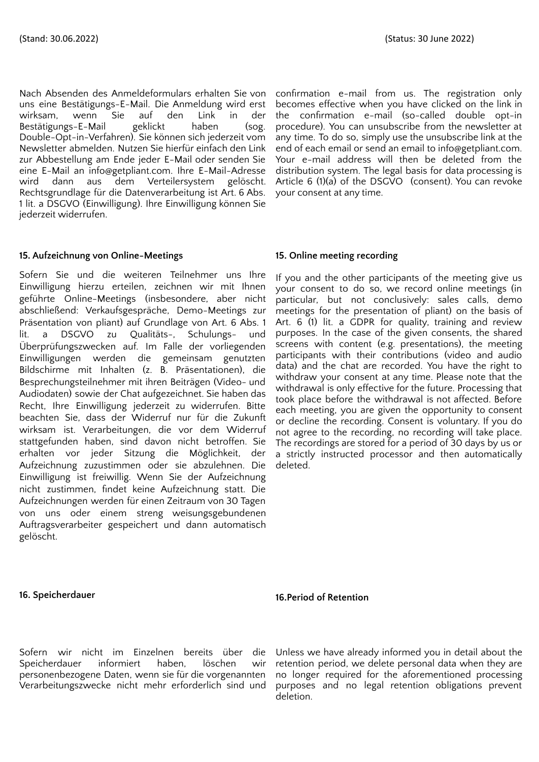Nach Absenden des Anmeldeformulars erhalten Sie von uns eine Bestätigungs-E-Mail. Die Anmeldung wird erst wirksam, wenn Sie auf den Link in der Bestätigungs-E-Mail geklickt haben (sog. Double-Opt-in-Verfahren). Sie können sich jederzeit vom Newsletter abmelden. Nutzen Sie hierfür einfach den Link zur Abbestellung am Ende jeder E-Mail oder senden Sie eine E-Mail an info@getpliant.com. Ihre E-Mail-Adresse wird dann aus dem Verteilersystem gelöscht. Rechtsgrundlage für die Datenverarbeitung ist Art. 6 Abs. 1 lit. a DSGVO (Einwilligung). Ihre Einwilligung können Sie jederzeit widerrufen.

### **15. Aufzeichnung von Online-Meetings**

Sofern Sie und die weiteren Teilnehmer uns Ihre Einwilligung hierzu erteilen, zeichnen wir mit Ihnen geführte Online-Meetings (insbesondere, aber nicht abschließend: Verkaufsgespräche, Demo-Meetings zur Präsentation von pliant) auf Grundlage von Art. 6 Abs. 1 lit. a DSGVO zu Qualitäts-, Schulungs- und Überprüfungszwecken auf. Im Falle der vorliegenden Einwilligungen werden die gemeinsam genutzten Bildschirme mit Inhalten (z. B. Präsentationen), die Besprechungsteilnehmer mit ihren Beiträgen (Video- und Audiodaten) sowie der Chat aufgezeichnet. Sie haben das Recht, Ihre Einwilligung jederzeit zu widerrufen. Bitte beachten Sie, dass der Widerruf nur für die Zukunft wirksam ist. Verarbeitungen, die vor dem Widerruf stattgefunden haben, sind davon nicht betroffen. Sie erhalten vor jeder Sitzung die Möglichkeit, der Aufzeichnung zuzustimmen oder sie abzulehnen. Die Einwilligung ist freiwillig. Wenn Sie der Aufzeichnung nicht zustimmen, findet keine Aufzeichnung statt. Die Aufzeichnungen werden für einen Zeitraum von 30 Tagen von uns oder einem streng weisungsgebundenen Auftragsverarbeiter gespeichert und dann automatisch gelöscht.

confirmation e-mail from us. The registration only becomes effective when you have clicked on the link in the confirmation e-mail (so-called double opt-in procedure). You can unsubscribe from the newsletter at any time. To do so, simply use the unsubscribe link at the end of each email or send an email to info@getpliant.com. Your e-mail address will then be deleted from the distribution system. The legal basis for data processing is Article 6 (1)(a) of the DSGVO (consent). You can revoke your consent at any time.

### **15. Online meeting recording**

If you and the other participants of the meeting give us your consent to do so, we record online meetings (in particular, but not conclusively: sales calls, demo meetings for the presentation of pliant) on the basis of Art. 6 (1) lit. a GDPR for quality, training and review purposes. In the case of the given consents, the shared screens with content (e.g. presentations), the meeting participants with their contributions (video and audio data) and the chat are recorded. You have the right to withdraw your consent at any time. Please note that the withdrawal is only effective for the future. Processing that took place before the withdrawal is not affected. Before each meeting, you are given the opportunity to consent or decline the recording. Consent is voluntary. If you do not agree to the recording, no recording will take place. The recordings are stored for a period of 30 days by us or a strictly instructed processor and then automatically deleted.

### **16. Speicherdauer**

### **16.Period of Retention**

Sofern wir nicht im Einzelnen bereits über die Speicherdauer informiert haben, löschen wir personenbezogene Daten, wenn sie für die vorgenannten Verarbeitungszwecke nicht mehr erforderlich sind und

Unless we have already informed you in detail about the retention period, we delete personal data when they are no longer required for the aforementioned processing purposes and no legal retention obligations prevent deletion.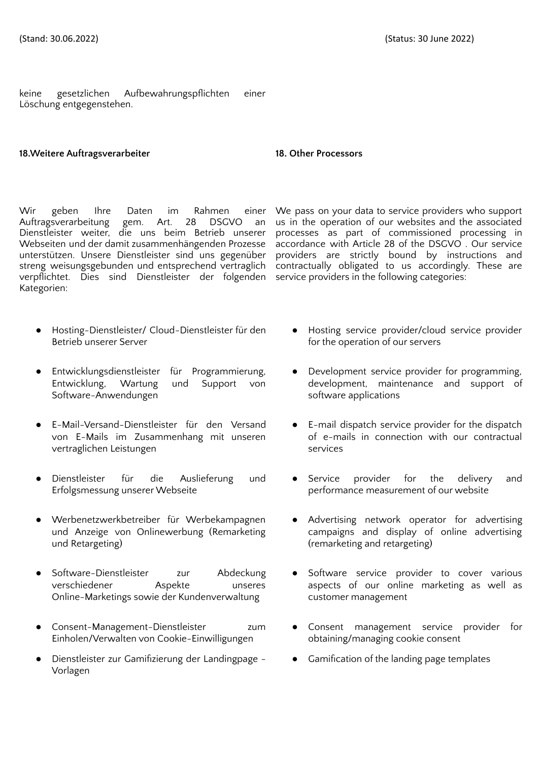keine gesetzlichen Aufbewahrungspflichten einer Löschung entgegenstehen.

### **18.Weitere Auftragsverarbeiter 18. Other Processors**

Wir geben Ihre Daten im Rahmen einer Auftragsverarbeitung gem. Art. 28 DSGVO an Dienstleister weiter, die uns beim Betrieb unserer Webseiten und der damit zusammenhängenden Prozesse unterstützen. Unsere Dienstleister sind uns gegenüber streng weisungsgebunden und entsprechend vertraglich verpflichtet. Dies sind Dienstleister der folgenden service providers in the following categories: Kategorien:

- Hosting-Dienstleister/ Cloud-Dienstleister für den Betrieb unserer Server
- Entwicklungsdienstleister für Programmierung, Entwicklung, Wartung und Support von Software-Anwendungen
- E-Mail-Versand-Dienstleister für den Versand von E-Mails im Zusammenhang mit unseren vertraglichen Leistungen
- Dienstleister für die Auslieferung und Erfolgsmessung unserer Webseite
- Werbenetzwerkbetreiber für Werbekampagnen und Anzeige von Onlinewerbung (Remarketing und Retargeting)
- Software-Dienstleister zur Abdeckung verschiedener Aspekte unseres Online-Marketings sowie der Kundenverwaltung
- Consent-Management-Dienstleister zum Einholen/Verwalten von Cookie-Einwilligungen
- Dienstleister zur Gamifizierung der Landingpage -Vorlagen

We pass on your data to service providers who support us in the operation of our websites and the associated processes as part of commissioned processing in accordance with Article 28 of the DSGVO . Our service providers are strictly bound by instructions and contractually obligated to us accordingly. These are

- Hosting service provider/cloud service provider for the operation of our servers
- Development service provider for programming, development, maintenance and support of software applications
- E-mail dispatch service provider for the dispatch of e-mails in connection with our contractual services
- Service provider for the delivery and performance measurement of our website
- Advertising network operator for advertising campaigns and display of online advertising (remarketing and retargeting)
- Software service provider to cover various aspects of our online marketing as well as customer management
- Consent management service provider for obtaining/managing cookie consent
- Gamification of the landing page templates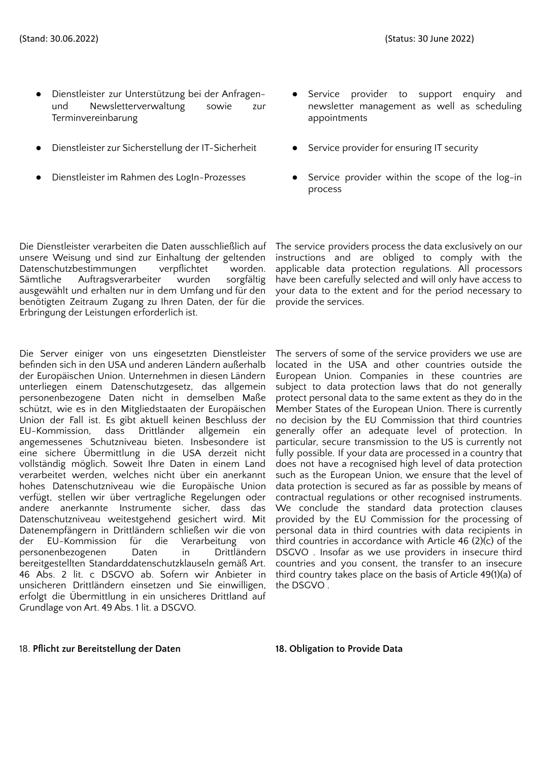- Dienstleister zur Unterstützung bei der Anfragenund Newsletterverwaltung sowie zur Terminvereinbarung
- Dienstleister zur Sicherstellung der IT-Sicherheit Service provider for ensuring IT security
- 
- Service provider to support enquiry and newsletter management as well as scheduling appointments
- 
- Dienstleister im Rahmen des LogIn-Prozesses **•** Service provider within the scope of the log-in process

Die Dienstleister verarbeiten die Daten ausschließlich auf unsere Weisung und sind zur Einhaltung der geltenden Datenschutzbestimmungen verpflichtet worden. Sämtliche Auftragsverarbeiter wurden sorgfältig ausgewählt und erhalten nur in dem Umfang und für den benötigten Zeitraum Zugang zu Ihren Daten, der für die Erbringung der Leistungen erforderlich ist.

Die Server einiger von uns eingesetzten Dienstleister befinden sich in den USA und anderen Ländern außerhalb der Europäischen Union. Unternehmen in diesen Ländern unterliegen einem Datenschutzgesetz, das allgemein personenbezogene Daten nicht in demselben Maße schützt, wie es in den Mitgliedstaaten der Europäischen Union der Fall ist. Es gibt aktuell keinen Beschluss der EU-Kommission, dass Drittländer allgemein ein angemessenes Schutzniveau bieten. Insbesondere ist eine sichere Übermittlung in die USA derzeit nicht vollständig möglich. Soweit Ihre Daten in einem Land verarbeitet werden, welches nicht über ein anerkannt hohes Datenschutzniveau wie die Europäische Union verfügt, stellen wir über vertragliche Regelungen oder andere anerkannte Instrumente sicher, dass das Datenschutzniveau weitestgehend gesichert wird. Mit Datenempfängern in Drittländern schließen wir die von der EU-Kommission für die Verarbeitung von personenbezogenen Daten in Drittländern bereitgestellten Standarddatenschutzklauseln gemäß Art. 46 Abs. 2 lit. c DSGVO ab. Sofern wir Anbieter in unsicheren Drittländern einsetzen und Sie einwilligen, erfolgt die Übermittlung in ein unsicheres Drittland auf Grundlage von Art. 49 Abs. 1 lit. a DSGVO.

The service providers process the data exclusively on our instructions and are obliged to comply with the applicable data protection regulations. All processors have been carefully selected and will only have access to your data to the extent and for the period necessary to provide the services.

The servers of some of the service providers we use are located in the USA and other countries outside the European Union. Companies in these countries are subject to data protection laws that do not generally protect personal data to the same extent as they do in the Member States of the European Union. There is currently no decision by the EU Commission that third countries generally offer an adequate level of protection. In particular, secure transmission to the US is currently not fully possible. If your data are processed in a country that does not have a recognised high level of data protection such as the European Union, we ensure that the level of data protection is secured as far as possible by means of contractual regulations or other recognised instruments. We conclude the standard data protection clauses provided by the EU Commission for the processing of personal data in third countries with data recipients in third countries in accordance with Article 46 (2)(c) of the DSGVO . Insofar as we use providers in insecure third countries and you consent, the transfer to an insecure third country takes place on the basis of Article 49(1)(a) of the DSGVO .

### 18. **Pflicht zur Bereitstellung der Daten 18. Obligation to Provide Data**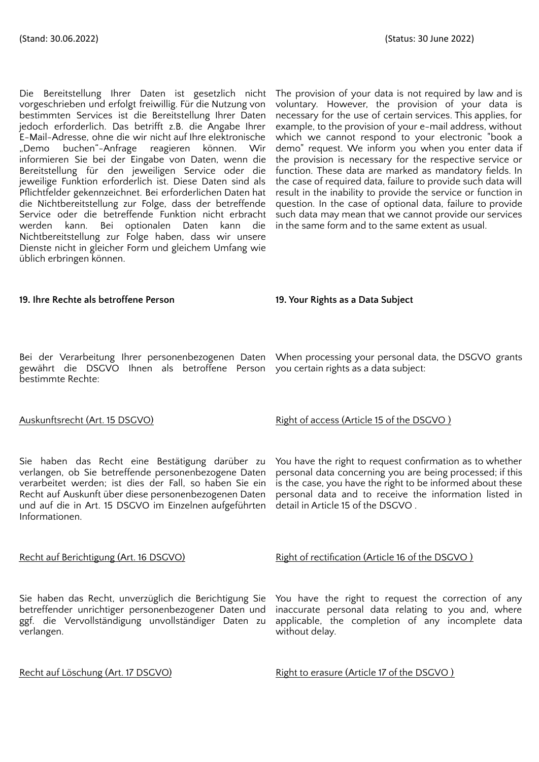Die Bereitstellung Ihrer Daten ist gesetzlich nicht vorgeschrieben und erfolgt freiwillig. Für die Nutzung von bestimmten Services ist die Bereitstellung Ihrer Daten jedoch erforderlich. Das betrifft z.B. die Angabe Ihrer E-Mail-Adresse, ohne die wir nicht auf Ihre elektronische "Demo buchen"-Anfrage reagieren können. Wir informieren Sie bei der Eingabe von Daten, wenn die Bereitstellung für den jeweiligen Service oder die jeweilige Funktion erforderlich ist. Diese Daten sind als Pflichtfelder gekennzeichnet. Bei erforderlichen Daten hat die Nichtbereitstellung zur Folge, dass der betreffende Service oder die betreffende Funktion nicht erbracht werden kann. Bei optionalen Daten kann die Nichtbereitstellung zur Folge haben, dass wir unsere Dienste nicht in gleicher Form und gleichem Umfang wie üblich erbringen können.

The provision of your data is not required by law and is voluntary. However, the provision of your data is necessary for the use of certain services. This applies, for example, to the provision of your e-mail address, without which we cannot respond to your electronic "book a demo" request. We inform you when you enter data if the provision is necessary for the respective service or function. These data are marked as mandatory fields. In the case of required data, failure to provide such data will result in the inability to provide the service or function in question. In the case of optional data, failure to provide such data may mean that we cannot provide our services in the same form and to the same extent as usual.

### **19. Ihre Rechte als betroffene Person 19. Your Rights as a Data Subject**

gewährt die DSGVO Ihnen als betroffene Person you certain rights as a data subject: bestimmte Rechte:

Sie haben das Recht eine Bestätigung darüber zu verlangen, ob Sie betreffende personenbezogene Daten verarbeitet werden; ist dies der Fall, so haben Sie ein Recht auf Auskunft über diese personenbezogenen Daten und auf die in Art. 15 DSGVO im Einzelnen aufgeführten Informationen.

Sie haben das Recht, unverzüglich die Berichtigung Sie betreffender unrichtiger personenbezogener Daten und ggf. die Vervollständigung unvollständiger Daten zu verlangen.

Bei der Verarbeitung Ihrer personenbezogenen Daten When processing your personal data, the DSGVO grants

### Auskunftsrecht (Art. 15 DSGVO) Right of access (Article 15 of the DSGVO)

You have the right to request confirmation as to whether personal data concerning you are being processed; if this is the case, you have the right to be informed about these personal data and to receive the information listed in detail in Article 15 of the DSGVO .

### Recht auf Berichtigung (Art. 16 DSGVO) Right of rectification (Article 16 of the DSGVO )

You have the right to request the correction of any inaccurate personal data relating to you and, where applicable, the completion of any incomplete data without delay.

Recht auf Löschung (Art. 17 DSGVO) Right to erasure (Article 17 of the DSGVO)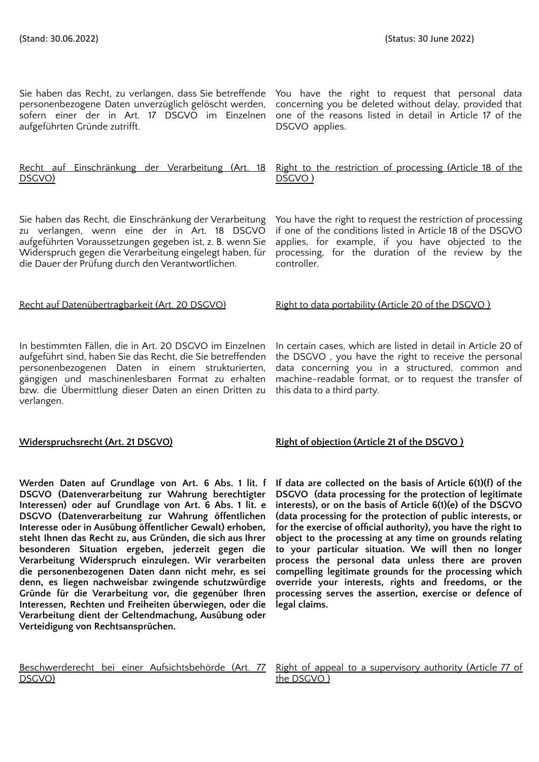Sie haben das Recht, zu verlangen, dass Sie betreffende You have the right to request that personal data personenbezogene Daten unverzüglich gelöscht werden, sofern einer der in Art. 17 DSGVO im Einzelnen aufgeführten Gründe zutrifft.

#### Recht auf Einschränkung der Verarbeitung (Art. 18 DSGVO)

Sie haben das Recht, die Einschränkung der Verarbeitung zu verlangen, wenn eine der in Art. 18 DSGVO aufgeführten Voraussetzungen gegeben ist, z. B. wenn Sie Widerspruch gegen die Verarbeitung eingelegt haben, für die Dauer der Prüfung durch den Verantwortlichen.

In bestimmten Fällen, die in Art. 20 DSGVO im Einzelnen aufgeführt sind, haben Sie das Recht, die Sie betreffenden personenbezogenen Daten in einem strukturierten, gängigen und maschinenlesbaren Format zu erhalten bzw. die Übermittlung dieser Daten an einen Dritten zu verlangen.

**Werden Daten auf Grundlage von Art. 6 Abs. 1 lit. f DSGVO (Datenverarbeitung zur Wahrung berechtigter Interessen) oder auf Grundlage von Art. 6 Abs. 1 lit. e DSGVO (Datenverarbeitung zur Wahrung öffentlichen Interesse oder in Ausübung öffentlicher Gewalt) erhoben, steht Ihnen das Recht zu, aus Gründen, die sich aus Ihrer besonderen Situation ergeben, jederzeit gegen die Verarbeitung Widerspruch einzulegen. Wir verarbeiten die personenbezogenen Daten dann nicht mehr, es sei denn, es liegen nachweisbar zwingende schutzwürdige Gründe für die Verarbeitung vor, die gegenüber Ihren Interessen, Rechten und Freiheiten überwiegen, oder die Verarbeitung dient der Geltendmachung, Ausübung oder Verteidigung von Rechtsansprüchen.**

Beschwerderecht bei einer Aufsichtsbehörde (Art. 77 DSGVO)

concerning you be deleted without delay, provided that one of the reasons listed in detail in Article 17 of the DSGVO applies.

#### Right to the restriction of processing (Article 18 of the DSGVO )

You have the right to request the restriction of processing if one of the conditions listed in Article 18 of the DSGVO applies, for example, if you have objected to the processing, for the duration of the review by the controller.

Recht auf Datenübertragbarkeit (Art. 20 DSGVO) Right to data portability (Article 20 of the DSGVO)

In certain cases, which are listed in detail in Article 20 of the DSGVO , you have the right to receive the personal data concerning you in a structured, common and machine-readable format, or to request the transfer of this data to a third party.

### **Widerspruchsrecht (Art. 21 DSGVO) Right of objection (Article 21 of the DSGVO )**

**If data are collected on the basis of Article 6(1)(f) of the DSGVO (data processing for the protection of legitimate interests), or on the basis of Article 6(1)(e) of the DSGVO (data processing for the protection of public interests, or for the exercise of official authority), you have the right to object to the processing at any time on grounds relating to your particular situation. We will then no longer process the personal data unless there are proven compelling legitimate grounds for the processing which override your interests, rights and freedoms, or the processing serves the assertion, exercise or defence of legal claims.**

Right of appeal to a supervisory authority (Article 77 of the DSGVO )